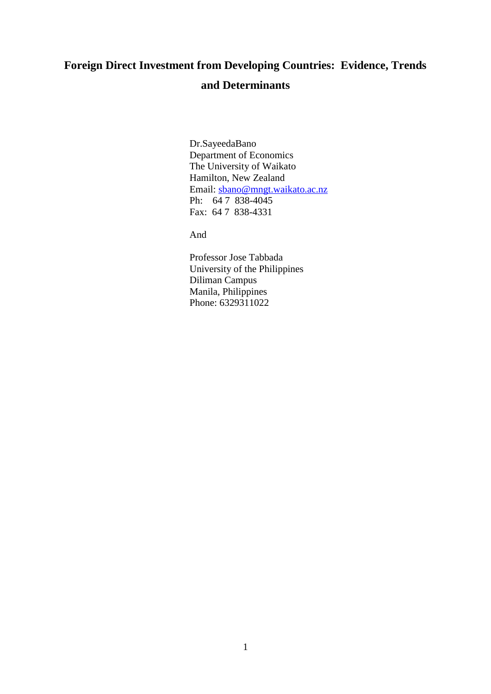## **Foreign Direct Investment from Developing Countries: Evidence, Trends and Determinants**

Dr.SayeedaBano Department of Economics The University of Waikato Hamilton, New Zealand Email: [sbano@mngt.waikato.ac.nz](mailto:sbano@mngt.waikato.ac.nz) Ph: 64 7 838-4045 Fax: 64 7 838-4331

And

Professor Jose Tabbada University of the Philippines Diliman Campus Manila, Philippines Phone: 6329311022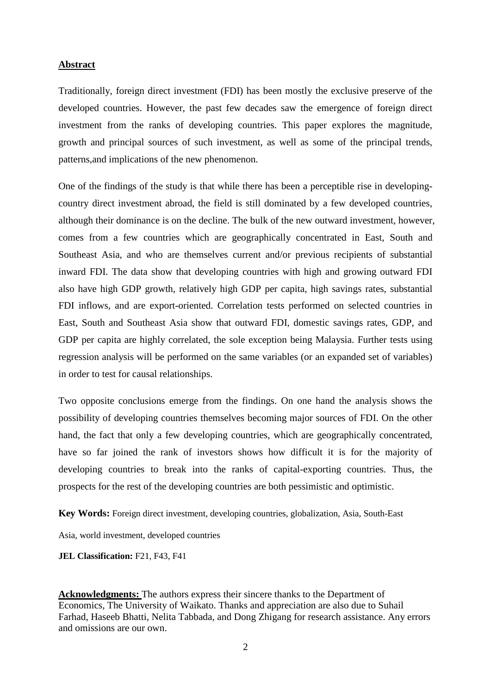#### **Abstract**

Traditionally, foreign direct investment (FDI) has been mostly the exclusive preserve of the developed countries. However, the past few decades saw the emergence of foreign direct investment from the ranks of developing countries. This paper explores the magnitude, growth and principal sources of such investment, as well as some of the principal trends, patterns,and implications of the new phenomenon.

One of the findings of the study is that while there has been a perceptible rise in developingcountry direct investment abroad, the field is still dominated by a few developed countries, although their dominance is on the decline. The bulk of the new outward investment, however, comes from a few countries which are geographically concentrated in East, South and Southeast Asia, and who are themselves current and/or previous recipients of substantial inward FDI. The data show that developing countries with high and growing outward FDI also have high GDP growth, relatively high GDP per capita, high savings rates, substantial FDI inflows, and are export-oriented. Correlation tests performed on selected countries in East, South and Southeast Asia show that outward FDI, domestic savings rates, GDP, and GDP per capita are highly correlated, the sole exception being Malaysia. Further tests using regression analysis will be performed on the same variables (or an expanded set of variables) in order to test for causal relationships.

Two opposite conclusions emerge from the findings. On one hand the analysis shows the possibility of developing countries themselves becoming major sources of FDI. On the other hand, the fact that only a few developing countries, which are geographically concentrated, have so far joined the rank of investors shows how difficult it is for the majority of developing countries to break into the ranks of capital-exporting countries. Thus, the prospects for the rest of the developing countries are both pessimistic and optimistic.

**Key Words:** Foreign direct investment, developing countries, globalization, Asia, South-East

Asia, world investment, developed countries

#### **JEL Classification: F21, F43, F41**

**Acknowledgments:** The authors express their sincere thanks to the Department of Economics, The University of Waikato. Thanks and appreciation are also due to Suhail Farhad, Haseeb Bhatti, Nelita Tabbada, and Dong Zhigang for research assistance. Any errors and omissions are our own.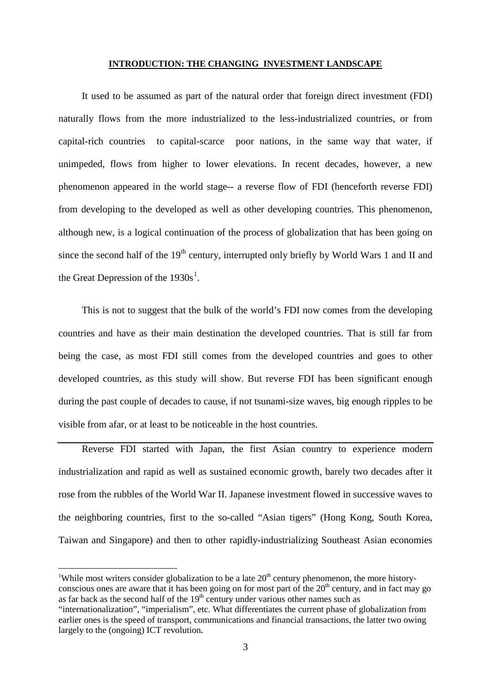#### <span id="page-2-0"></span>**INTRODUCTION: THE CHANGING INVESTMENT LANDSCAPE**

It used to be assumed as part of the natural order that foreign direct investment (FDI) naturally flows from the more industrialized to the less-industrialized countries, or from capital-rich countries to capital-scarce poor nations, in the same way that water, if unimpeded, flows from higher to lower elevations. In recent decades, however, a new phenomenon appeared in the world stage-- a reverse flow of FDI (henceforth reverse FDI) from developing to the developed as well as other developing countries. This phenomenon, although new, is a logical continuation of the process of globalization that has been going on since the second half of the 19<sup>th</sup> century, interrupted only briefly by World Wars 1 and II and the Great Depression of the  $1930s<sup>1</sup>$  $1930s<sup>1</sup>$ .

This is not to suggest that the bulk of the world's FDI now comes from the developing countries and have as their main destination the developed countries. That is still far from being the case, as most FDI still comes from the developed countries and goes to other developed countries, as this study will show. But reverse FDI has been significant enough during the past couple of decades to cause, if not tsunami-size waves, big enough ripples to be visible from afar, or at least to be noticeable in the host countries.

Reverse FDI started with Japan, the first Asian country to experience modern industrialization and rapid as well as sustained economic growth, barely two decades after it rose from the rubbles of the World War II. Japanese investment flowed in successive waves to the neighboring countries, first to the so-called "Asian tigers" (Hong Kong, South Korea, Taiwan and Singapore) and then to other rapidly-industrializing Southeast Asian economies

 $\frac{1}{1}$ <sup>1</sup>While most writers consider globalization to be a late  $20<sup>th</sup>$  century phenomenon, the more historyconscious ones are aware that it has been going on for most part of the  $20<sup>th</sup>$  century, and in fact may go as far back as the second half of the  $19<sup>th</sup>$  century under various other names such as "internationalization", "imperialism", etc. What differentiates the current phase of globalization from

earlier ones is the speed of transport, communications and financial transactions, the latter two owing largely to the (ongoing) ICT revolution**.**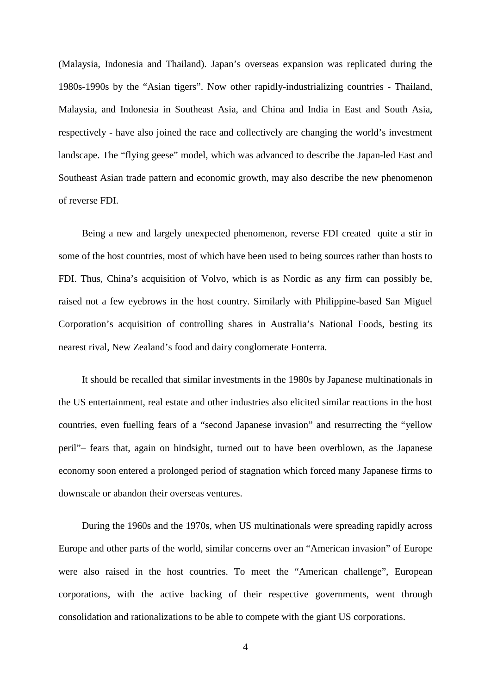(Malaysia, Indonesia and Thailand). Japan's overseas expansion was replicated during the 1980s-1990s by the "Asian tigers". Now other rapidly-industrializing countries - Thailand, Malaysia, and Indonesia in Southeast Asia, and China and India in East and South Asia, respectively - have also joined the race and collectively are changing the world's investment landscape. The "flying geese" model, which was advanced to describe the Japan-led East and Southeast Asian trade pattern and economic growth, may also describe the new phenomenon of reverse FDI.

Being a new and largely unexpected phenomenon, reverse FDI created quite a stir in some of the host countries, most of which have been used to being sources rather than hosts to FDI. Thus, China's acquisition of Volvo, which is as Nordic as any firm can possibly be, raised not a few eyebrows in the host country. Similarly with Philippine-based San Miguel Corporation's acquisition of controlling shares in Australia's National Foods, besting its nearest rival, New Zealand's food and dairy conglomerate Fonterra.

It should be recalled that similar investments in the 1980s by Japanese multinationals in the US entertainment, real estate and other industries also elicited similar reactions in the host countries, even fuelling fears of a "second Japanese invasion" and resurrecting the "yellow peril"– fears that, again on hindsight, turned out to have been overblown, as the Japanese economy soon entered a prolonged period of stagnation which forced many Japanese firms to downscale or abandon their overseas ventures.

During the 1960s and the 1970s, when US multinationals were spreading rapidly across Europe and other parts of the world, similar concerns over an "American invasion" of Europe were also raised in the host countries. To meet the "American challenge", European corporations, with the active backing of their respective governments, went through consolidation and rationalizations to be able to compete with the giant US corporations.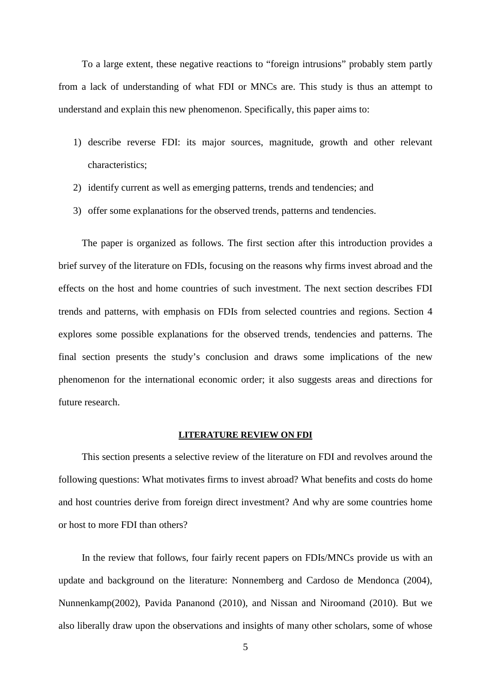To a large extent, these negative reactions to "foreign intrusions" probably stem partly from a lack of understanding of what FDI or MNCs are. This study is thus an attempt to understand and explain this new phenomenon. Specifically, this paper aims to:

- 1) describe reverse FDI: its major sources, magnitude, growth and other relevant characteristics;
- 2) identify current as well as emerging patterns, trends and tendencies; and
- 3) offer some explanations for the observed trends, patterns and tendencies.

The paper is organized as follows. The first section after this introduction provides a brief survey of the literature on FDIs, focusing on the reasons why firms invest abroad and the effects on the host and home countries of such investment. The next section describes FDI trends and patterns, with emphasis on FDIs from selected countries and regions. Section 4 explores some possible explanations for the observed trends, tendencies and patterns. The final section presents the study's conclusion and draws some implications of the new phenomenon for the international economic order; it also suggests areas and directions for future research.

#### **LITERATURE REVIEW ON FDI**

This section presents a selective review of the literature on FDI and revolves around the following questions: What motivates firms to invest abroad? What benefits and costs do home and host countries derive from foreign direct investment? And why are some countries home or host to more FDI than others?

In the review that follows, four fairly recent papers on FDIs/MNCs provide us with an update and background on the literature: Nonnemberg and Cardoso de Mendonca (2004), Nunnenkamp(2002), Pavida Pananond (2010), and Nissan and Niroomand (2010). But we also liberally draw upon the observations and insights of many other scholars, some of whose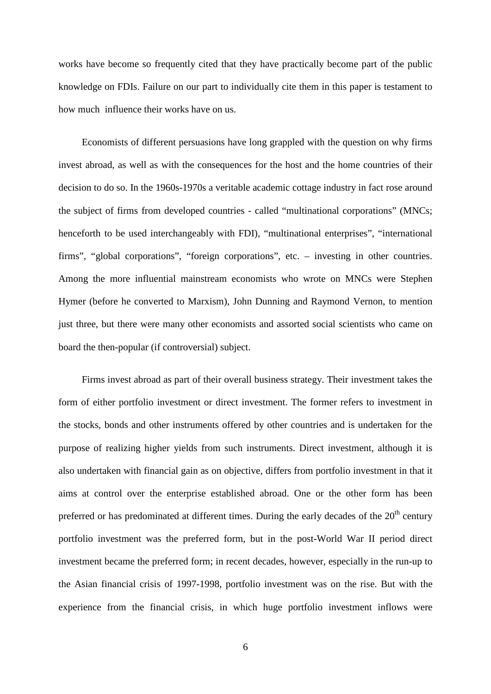works have become so frequently cited that they have practically become part of the public knowledge on FDIs. Failure on our part to individually cite them in this paper is testament to how much influence their works have on us.

Economists of different persuasions have long grappled with the question on why firms invest abroad, as well as with the consequences for the host and the home countries of their decision to do so. In the 1960s-1970s a veritable academic cottage industry in fact rose around the subject of firms from developed countries - called "multinational corporations" (MNCs; henceforth to be used interchangeably with FDI), "multinational enterprises", "international firms", "global corporations", "foreign corporations", etc. – investing in other countries. Among the more influential mainstream economists who wrote on MNCs were Stephen Hymer (before he converted to Marxism), John Dunning and Raymond Vernon, to mention just three, but there were many other economists and assorted social scientists who came on board the then-popular (if controversial) subject.

Firms invest abroad as part of their overall business strategy. Their investment takes the form of either portfolio investment or direct investment. The former refers to investment in the stocks, bonds and other instruments offered by other countries and is undertaken for the purpose of realizing higher yields from such instruments. Direct investment, although it is also undertaken with financial gain as on objective, differs from portfolio investment in that it aims at control over the enterprise established abroad. One or the other form has been preferred or has predominated at different times. During the early decades of the  $20<sup>th</sup>$  century portfolio investment was the preferred form, but in the post-World War II period direct investment became the preferred form; in recent decades, however, especially in the run-up to the Asian financial crisis of 1997-1998, portfolio investment was on the rise. But with the experience from the financial crisis, in which huge portfolio investment inflows were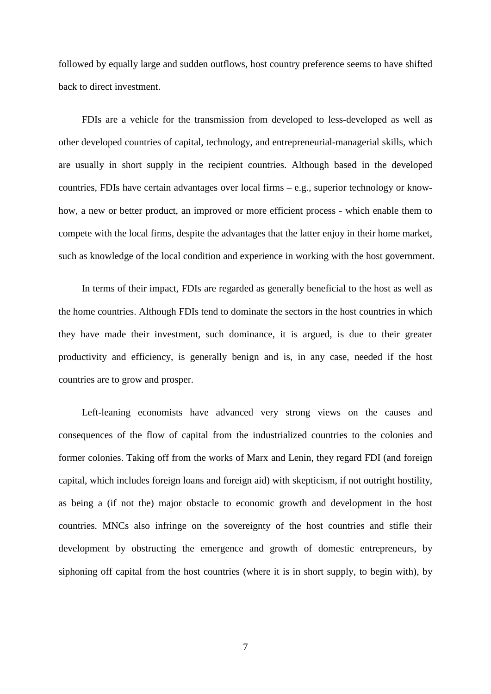followed by equally large and sudden outflows, host country preference seems to have shifted back to direct investment.

FDIs are a vehicle for the transmission from developed to less-developed as well as other developed countries of capital, technology, and entrepreneurial-managerial skills, which are usually in short supply in the recipient countries. Although based in the developed countries, FDIs have certain advantages over local firms – e.g., superior technology or knowhow, a new or better product, an improved or more efficient process - which enable them to compete with the local firms, despite the advantages that the latter enjoy in their home market, such as knowledge of the local condition and experience in working with the host government.

In terms of their impact, FDIs are regarded as generally beneficial to the host as well as the home countries. Although FDIs tend to dominate the sectors in the host countries in which they have made their investment, such dominance, it is argued, is due to their greater productivity and efficiency, is generally benign and is, in any case, needed if the host countries are to grow and prosper.

Left-leaning economists have advanced very strong views on the causes and consequences of the flow of capital from the industrialized countries to the colonies and former colonies. Taking off from the works of Marx and Lenin, they regard FDI (and foreign capital, which includes foreign loans and foreign aid) with skepticism, if not outright hostility, as being a (if not the) major obstacle to economic growth and development in the host countries. MNCs also infringe on the sovereignty of the host countries and stifle their development by obstructing the emergence and growth of domestic entrepreneurs, by siphoning off capital from the host countries (where it is in short supply, to begin with), by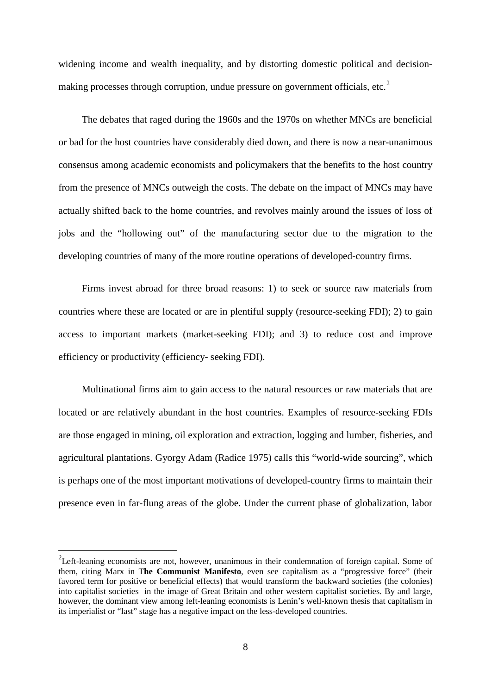widening income and wealth inequality, and by distorting domestic political and decision-making processes through corruption, undue pressure on government officials, etc.<sup>[2](#page-7-0)</sup>

The debates that raged during the 1960s and the 1970s on whether MNCs are beneficial or bad for the host countries have considerably died down, and there is now a near-unanimous consensus among academic economists and policymakers that the benefits to the host country from the presence of MNCs outweigh the costs. The debate on the impact of MNCs may have actually shifted back to the home countries, and revolves mainly around the issues of loss of jobs and the "hollowing out" of the manufacturing sector due to the migration to the developing countries of many of the more routine operations of developed-country firms.

<span id="page-7-0"></span>Firms invest abroad for three broad reasons: 1) to seek or source raw materials from countries where these are located or are in plentiful supply (resource-seeking FDI); 2) to gain access to important markets (market-seeking FDI); and 3) to reduce cost and improve efficiency or productivity (efficiency- seeking FDI).

Multinational firms aim to gain access to the natural resources or raw materials that are located or are relatively abundant in the host countries. Examples of resource-seeking FDIs are those engaged in mining, oil exploration and extraction, logging and lumber, fisheries, and agricultural plantations. Gyorgy Adam (Radice 1975) calls this "world-wide sourcing", which is perhaps one of the most important motivations of developed-country firms to maintain their presence even in far-flung areas of the globe. Under the current phase of globalization, labor

<sup>-&</sup>lt;br><sup>2</sup>Left-leaning economists are not, however, unanimous in their condemnation of foreign capital. Some of them, citing Marx in T**he Communist Manifesto**, even see capitalism as a "progressive force" (their favored term for positive or beneficial effects) that would transform the backward societies (the colonies) into capitalist societies in the image of Great Britain and other western capitalist societies. By and large, however, the dominant view among left-leaning economists is Lenin's well-known thesis that capitalism in its imperialist or "last" stage has a negative impact on the less-developed countries.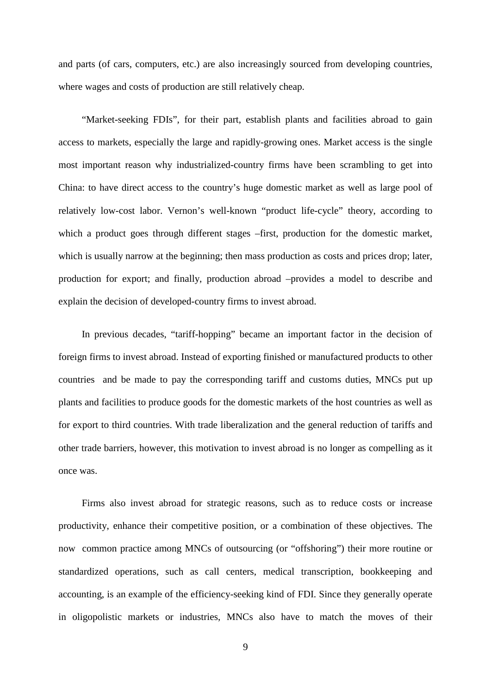and parts (of cars, computers, etc.) are also increasingly sourced from developing countries, where wages and costs of production are still relatively cheap.

"Market-seeking FDIs", for their part, establish plants and facilities abroad to gain access to markets, especially the large and rapidly-growing ones. Market access is the single most important reason why industrialized-country firms have been scrambling to get into China: to have direct access to the country's huge domestic market as well as large pool of relatively low-cost labor. Vernon's well-known "product life-cycle" theory, according to which a product goes through different stages –first, production for the domestic market, which is usually narrow at the beginning; then mass production as costs and prices drop; later, production for export; and finally, production abroad –provides a model to describe and explain the decision of developed-country firms to invest abroad.

In previous decades, "tariff-hopping" became an important factor in the decision of foreign firms to invest abroad. Instead of exporting finished or manufactured products to other countries and be made to pay the corresponding tariff and customs duties, MNCs put up plants and facilities to produce goods for the domestic markets of the host countries as well as for export to third countries. With trade liberalization and the general reduction of tariffs and other trade barriers, however, this motivation to invest abroad is no longer as compelling as it once was.

Firms also invest abroad for strategic reasons, such as to reduce costs or increase productivity, enhance their competitive position, or a combination of these objectives. The now common practice among MNCs of outsourcing (or "offshoring") their more routine or standardized operations, such as call centers, medical transcription, bookkeeping and accounting, is an example of the efficiency-seeking kind of FDI. Since they generally operate in oligopolistic markets or industries, MNCs also have to match the moves of their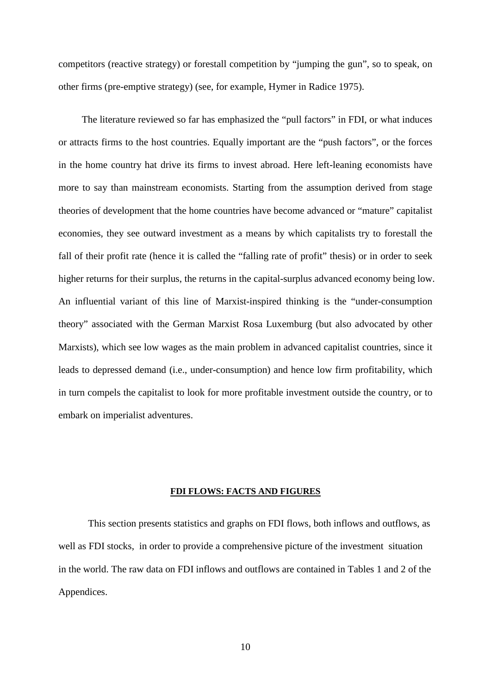competitors (reactive strategy) or forestall competition by "jumping the gun", so to speak, on other firms (pre-emptive strategy) (see, for example, Hymer in Radice 1975).

The literature reviewed so far has emphasized the "pull factors" in FDI, or what induces or attracts firms to the host countries. Equally important are the "push factors", or the forces in the home country hat drive its firms to invest abroad. Here left-leaning economists have more to say than mainstream economists. Starting from the assumption derived from stage theories of development that the home countries have become advanced or "mature" capitalist economies, they see outward investment as a means by which capitalists try to forestall the fall of their profit rate (hence it is called the "falling rate of profit" thesis) or in order to seek higher returns for their surplus, the returns in the capital-surplus advanced economy being low. An influential variant of this line of Marxist-inspired thinking is the "under-consumption theory" associated with the German Marxist Rosa Luxemburg (but also advocated by other Marxists), which see low wages as the main problem in advanced capitalist countries, since it leads to depressed demand (i.e., under-consumption) and hence low firm profitability, which in turn compels the capitalist to look for more profitable investment outside the country, or to embark on imperialist adventures.

#### **FDI FLOWS: FACTS AND FIGURES**

This section presents statistics and graphs on FDI flows, both inflows and outflows, as well as FDI stocks, in order to provide a comprehensive picture of the investment situation in the world. The raw data on FDI inflows and outflows are contained in Tables 1 and 2 of the Appendices.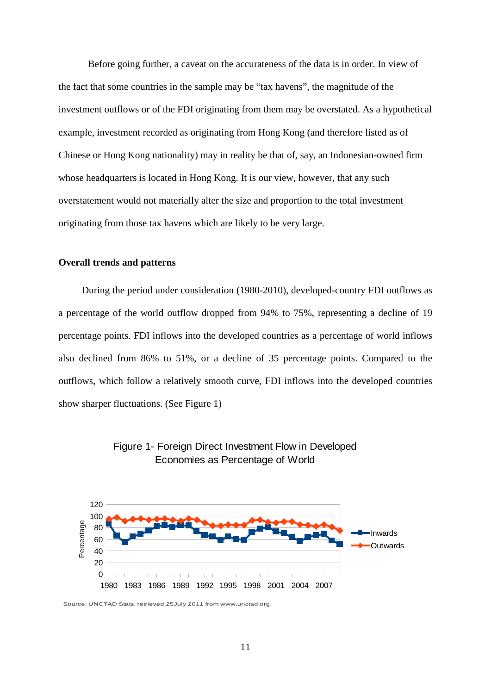Before going further, a caveat on the accurateness of the data is in order. In view of the fact that some countries in the sample may be "tax havens", the magnitude of the investment outflows or of the FDI originating from them may be overstated. As a hypothetical example, investment recorded as originating from Hong Kong (and therefore listed as of Chinese or Hong Kong nationality) may in reality be that of, say, an Indonesian-owned firm whose headquarters is located in Hong Kong. It is our view, however, that any such overstatement would not materially alter the size and proportion to the total investment originating from those tax havens which are likely to be very large.

#### **Overall trends and patterns**

During the period under consideration (1980-2010), developed-country FDI outflows as a percentage of the world outflow dropped from 94% to 75%, representing a decline of 19 percentage points. FDI inflows into the developed countries as a percentage of world inflows also declined from 86% to 51%, or a decline of 35 percentage points. Compared to the outflows, which follow a relatively smooth curve, FDI inflows into the developed countries show sharper fluctuations. (See Figure 1)





Source: UNCTAD Stats, retrieved 25July 2011 from www.unctad.org.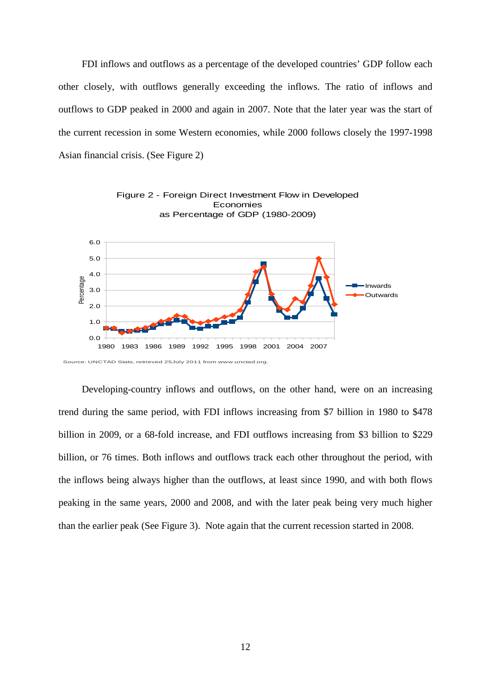FDI inflows and outflows as a percentage of the developed countries' GDP follow each other closely, with outflows generally exceeding the inflows. The ratio of inflows and outflows to GDP peaked in 2000 and again in 2007. Note that the later year was the start of the current recession in some Western economies, while 2000 follows closely the 1997-1998 Asian financial crisis. (See Figure 2)



Economies

Figure 2 - Foreign Direct Investment Flow in Developed

Developing-country inflows and outflows, on the other hand, were on an increasing trend during the same period, with FDI inflows increasing from \$7 billion in 1980 to \$478 billion in 2009, or a 68-fold increase, and FDI outflows increasing from \$3 billion to \$229 billion, or 76 times. Both inflows and outflows track each other throughout the period, with the inflows being always higher than the outflows, at least since 1990, and with both flows peaking in the same years, 2000 and 2008, and with the later peak being very much higher than the earlier peak (See Figure 3). Note again that the current recession started in 2008.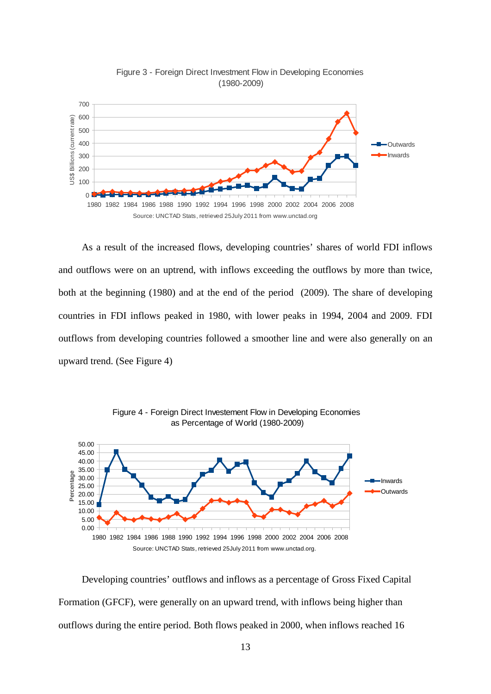



As a result of the increased flows, developing countries' shares of world FDI inflows and outflows were on an uptrend, with inflows exceeding the outflows by more than twice, both at the beginning (1980) and at the end of the period (2009). The share of developing countries in FDI inflows peaked in 1980, with lower peaks in 1994, 2004 and 2009. FDI outflows from developing countries followed a smoother line and were also generally on an upward trend. (See Figure 4)



Figure 4 - Foreign Direct Investement Flow in Developing Economies

Developing countries' outflows and inflows as a percentage of Gross Fixed Capital Formation (GFCF), were generally on an upward trend, with inflows being higher than outflows during the entire period. Both flows peaked in 2000, when inflows reached 16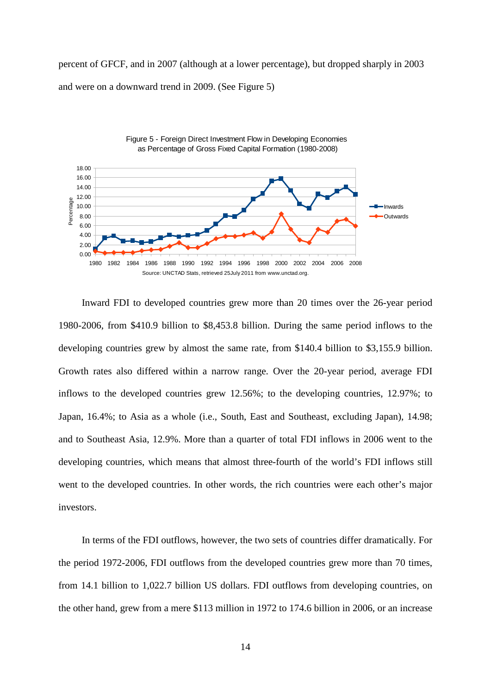percent of GFCF, and in 2007 (although at a lower percentage), but dropped sharply in 2003 and were on a downward trend in 2009. (See Figure 5)



Inward FDI to developed countries grew more than 20 times over the 26-year period 1980-2006, from \$410.9 billion to \$8,453.8 billion. During the same period inflows to the developing countries grew by almost the same rate, from \$140.4 billion to \$3,155.9 billion. Growth rates also differed within a narrow range. Over the 20-year period, average FDI inflows to the developed countries grew 12.56%; to the developing countries, 12.97%; to Japan, 16.4%; to Asia as a whole (i.e., South, East and Southeast, excluding Japan), 14.98; and to Southeast Asia, 12.9%. More than a quarter of total FDI inflows in 2006 went to the developing countries, which means that almost three-fourth of the world's FDI inflows still went to the developed countries. In other words, the rich countries were each other's major investors.

In terms of the FDI outflows, however, the two sets of countries differ dramatically. For the period 1972-2006, FDI outflows from the developed countries grew more than 70 times, from 14.1 billion to 1,022.7 billion US dollars. FDI outflows from developing countries, on the other hand, grew from a mere \$113 million in 1972 to 174.6 billion in 2006, or an increase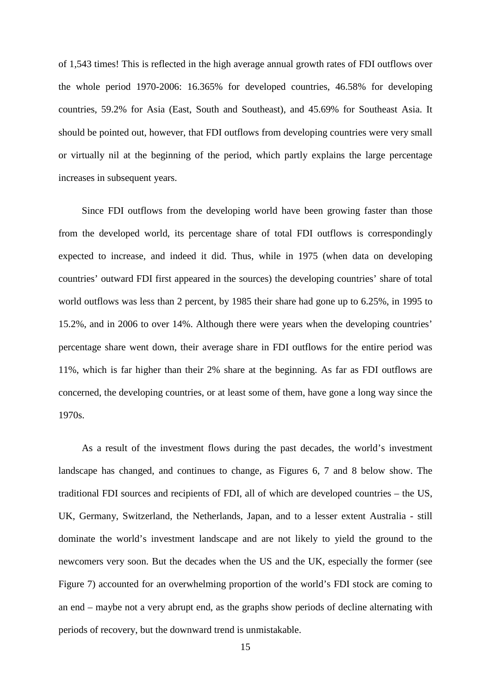of 1,543 times! This is reflected in the high average annual growth rates of FDI outflows over the whole period 1970-2006: 16.365% for developed countries, 46.58% for developing countries, 59.2% for Asia (East, South and Southeast), and 45.69% for Southeast Asia. It should be pointed out, however, that FDI outflows from developing countries were very small or virtually nil at the beginning of the period, which partly explains the large percentage increases in subsequent years.

Since FDI outflows from the developing world have been growing faster than those from the developed world, its percentage share of total FDI outflows is correspondingly expected to increase, and indeed it did. Thus, while in 1975 (when data on developing countries' outward FDI first appeared in the sources) the developing countries' share of total world outflows was less than 2 percent, by 1985 their share had gone up to 6.25%, in 1995 to 15.2%, and in 2006 to over 14%. Although there were years when the developing countries' percentage share went down, their average share in FDI outflows for the entire period was 11%, which is far higher than their 2% share at the beginning. As far as FDI outflows are concerned, the developing countries, or at least some of them, have gone a long way since the 1970s.

As a result of the investment flows during the past decades, the world's investment landscape has changed, and continues to change, as Figures 6, 7 and 8 below show. The traditional FDI sources and recipients of FDI, all of which are developed countries – the US, UK, Germany, Switzerland, the Netherlands, Japan, and to a lesser extent Australia - still dominate the world's investment landscape and are not likely to yield the ground to the newcomers very soon. But the decades when the US and the UK, especially the former (see Figure 7) accounted for an overwhelming proportion of the world's FDI stock are coming to an end – maybe not a very abrupt end, as the graphs show periods of decline alternating with periods of recovery, but the downward trend is unmistakable.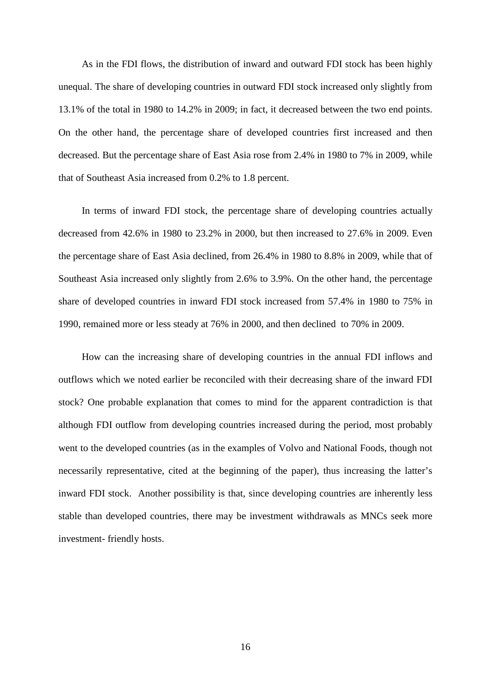As in the FDI flows, the distribution of inward and outward FDI stock has been highly unequal. The share of developing countries in outward FDI stock increased only slightly from 13.1% of the total in 1980 to 14.2% in 2009; in fact, it decreased between the two end points. On the other hand, the percentage share of developed countries first increased and then decreased. But the percentage share of East Asia rose from 2.4% in 1980 to 7% in 2009, while that of Southeast Asia increased from 0.2% to 1.8 percent.

In terms of inward FDI stock, the percentage share of developing countries actually decreased from 42.6% in 1980 to 23.2% in 2000, but then increased to 27.6% in 2009. Even the percentage share of East Asia declined, from 26.4% in 1980 to 8.8% in 2009, while that of Southeast Asia increased only slightly from 2.6% to 3.9%. On the other hand, the percentage share of developed countries in inward FDI stock increased from 57.4% in 1980 to 75% in 1990, remained more or less steady at 76% in 2000, and then declined to 70% in 2009.

How can the increasing share of developing countries in the annual FDI inflows and outflows which we noted earlier be reconciled with their decreasing share of the inward FDI stock? One probable explanation that comes to mind for the apparent contradiction is that although FDI outflow from developing countries increased during the period, most probably went to the developed countries (as in the examples of Volvo and National Foods, though not necessarily representative, cited at the beginning of the paper), thus increasing the latter's inward FDI stock. Another possibility is that, since developing countries are inherently less stable than developed countries, there may be investment withdrawals as MNCs seek more investment- friendly hosts.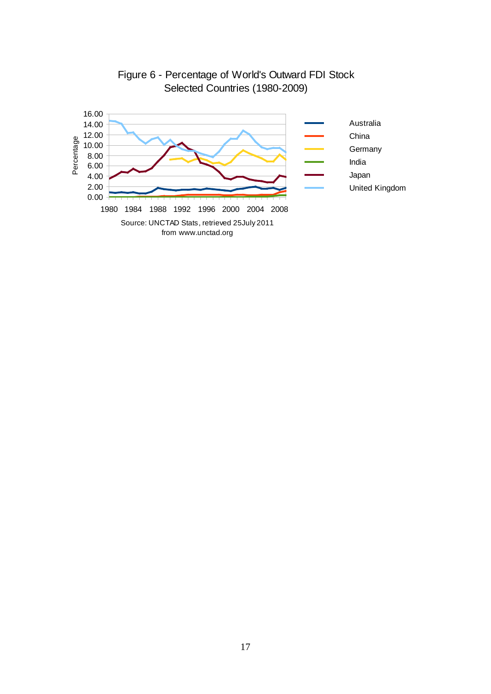

## Figure 6 - Percentage of World's Outward FDI Stock Selected Countries (1980-2009)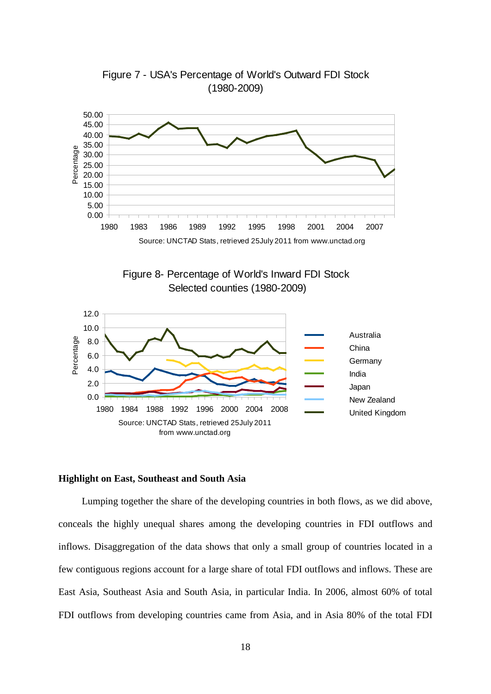

Figure 7 - USA's Percentage of World's Outward FDI Stock (1980-2009)





#### **Highlight on East, Southeast and South Asia**

Lumping together the share of the developing countries in both flows, as we did above, conceals the highly unequal shares among the developing countries in FDI outflows and inflows. Disaggregation of the data shows that only a small group of countries located in a few contiguous regions account for a large share of total FDI outflows and inflows. These are East Asia, Southeast Asia and South Asia, in particular India. In 2006, almost 60% of total FDI outflows from developing countries came from Asia, and in Asia 80% of the total FDI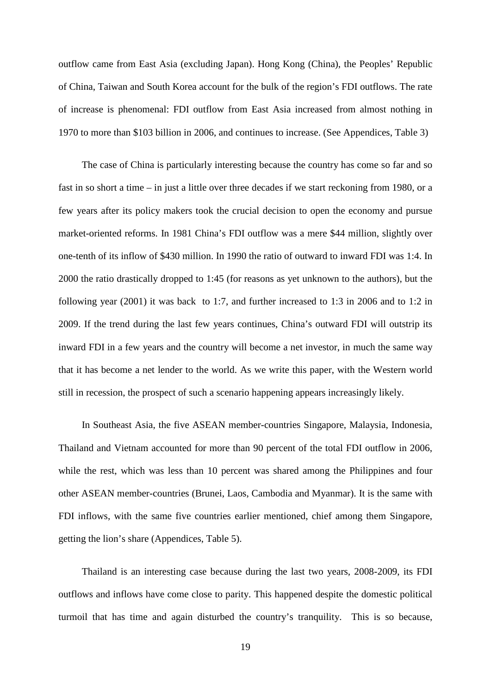outflow came from East Asia (excluding Japan). Hong Kong (China), the Peoples' Republic of China, Taiwan and South Korea account for the bulk of the region's FDI outflows. The rate of increase is phenomenal: FDI outflow from East Asia increased from almost nothing in 1970 to more than \$103 billion in 2006, and continues to increase. (See Appendices, Table 3)

The case of China is particularly interesting because the country has come so far and so fast in so short a time – in just a little over three decades if we start reckoning from 1980, or a few years after its policy makers took the crucial decision to open the economy and pursue market-oriented reforms. In 1981 China's FDI outflow was a mere \$44 million, slightly over one-tenth of its inflow of \$430 million. In 1990 the ratio of outward to inward FDI was 1:4. In 2000 the ratio drastically dropped to 1:45 (for reasons as yet unknown to the authors), but the following year (2001) it was back to 1:7, and further increased to 1:3 in 2006 and to 1:2 in 2009. If the trend during the last few years continues, China's outward FDI will outstrip its inward FDI in a few years and the country will become a net investor, in much the same way that it has become a net lender to the world. As we write this paper, with the Western world still in recession, the prospect of such a scenario happening appears increasingly likely.

In Southeast Asia, the five ASEAN member-countries Singapore, Malaysia, Indonesia, Thailand and Vietnam accounted for more than 90 percent of the total FDI outflow in 2006, while the rest, which was less than 10 percent was shared among the Philippines and four other ASEAN member-countries (Brunei, Laos, Cambodia and Myanmar). It is the same with FDI inflows, with the same five countries earlier mentioned, chief among them Singapore, getting the lion's share (Appendices, Table 5).

Thailand is an interesting case because during the last two years, 2008-2009, its FDI outflows and inflows have come close to parity. This happened despite the domestic political turmoil that has time and again disturbed the country's tranquility. This is so because,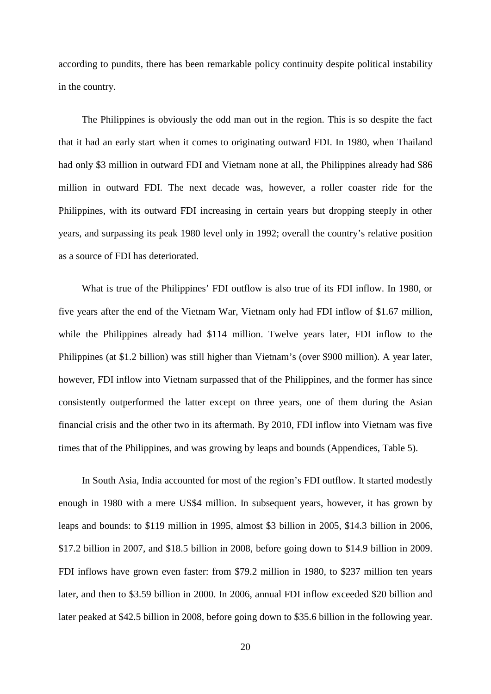according to pundits, there has been remarkable policy continuity despite political instability in the country.

The Philippines is obviously the odd man out in the region. This is so despite the fact that it had an early start when it comes to originating outward FDI. In 1980, when Thailand had only \$3 million in outward FDI and Vietnam none at all, the Philippines already had \$86 million in outward FDI. The next decade was, however, a roller coaster ride for the Philippines, with its outward FDI increasing in certain years but dropping steeply in other years, and surpassing its peak 1980 level only in 1992; overall the country's relative position as a source of FDI has deteriorated.

What is true of the Philippines' FDI outflow is also true of its FDI inflow. In 1980, or five years after the end of the Vietnam War, Vietnam only had FDI inflow of \$1.67 million, while the Philippines already had \$114 million. Twelve years later, FDI inflow to the Philippines (at \$1.2 billion) was still higher than Vietnam's (over \$900 million). A year later, however, FDI inflow into Vietnam surpassed that of the Philippines, and the former has since consistently outperformed the latter except on three years, one of them during the Asian financial crisis and the other two in its aftermath. By 2010, FDI inflow into Vietnam was five times that of the Philippines, and was growing by leaps and bounds (Appendices, Table 5).

In South Asia, India accounted for most of the region's FDI outflow. It started modestly enough in 1980 with a mere US\$4 million. In subsequent years, however, it has grown by leaps and bounds: to \$119 million in 1995, almost \$3 billion in 2005, \$14.3 billion in 2006, \$17.2 billion in 2007, and \$18.5 billion in 2008, before going down to \$14.9 billion in 2009. FDI inflows have grown even faster: from \$79.2 million in 1980, to \$237 million ten years later, and then to \$3.59 billion in 2000. In 2006, annual FDI inflow exceeded \$20 billion and later peaked at \$42.5 billion in 2008, before going down to \$35.6 billion in the following year.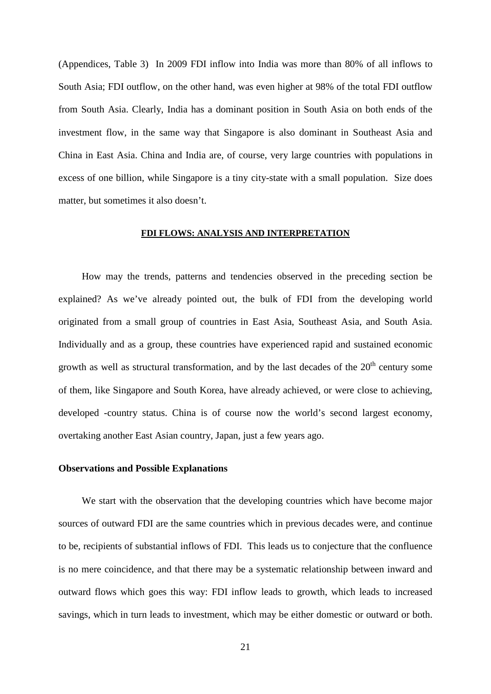(Appendices, Table 3) In 2009 FDI inflow into India was more than 80% of all inflows to South Asia; FDI outflow, on the other hand, was even higher at 98% of the total FDI outflow from South Asia. Clearly, India has a dominant position in South Asia on both ends of the investment flow, in the same way that Singapore is also dominant in Southeast Asia and China in East Asia. China and India are, of course, very large countries with populations in excess of one billion, while Singapore is a tiny city-state with a small population. Size does matter, but sometimes it also doesn't.

#### **FDI FLOWS: ANALYSIS AND INTERPRETATION**

How may the trends, patterns and tendencies observed in the preceding section be explained? As we've already pointed out, the bulk of FDI from the developing world originated from a small group of countries in East Asia, Southeast Asia, and South Asia. Individually and as a group, these countries have experienced rapid and sustained economic growth as well as structural transformation, and by the last decades of the  $20<sup>th</sup>$  century some of them, like Singapore and South Korea, have already achieved, or were close to achieving, developed -country status. China is of course now the world's second largest economy, overtaking another East Asian country, Japan, just a few years ago.

#### **Observations and Possible Explanations**

We start with the observation that the developing countries which have become major sources of outward FDI are the same countries which in previous decades were, and continue to be, recipients of substantial inflows of FDI. This leads us to conjecture that the confluence is no mere coincidence, and that there may be a systematic relationship between inward and outward flows which goes this way: FDI inflow leads to growth, which leads to increased savings, which in turn leads to investment, which may be either domestic or outward or both.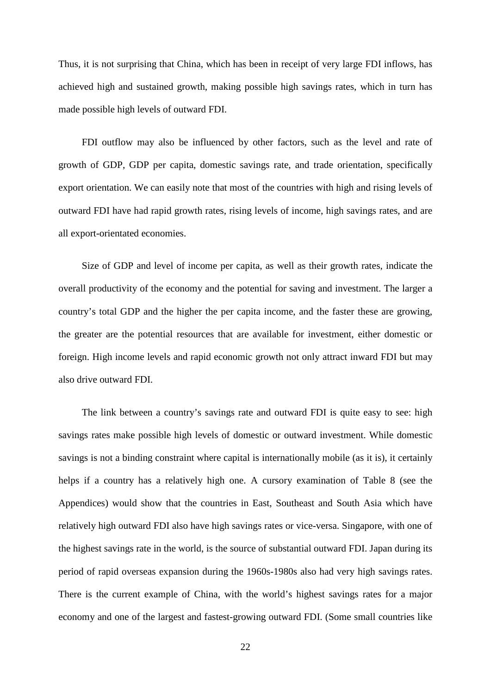Thus, it is not surprising that China, which has been in receipt of very large FDI inflows, has achieved high and sustained growth, making possible high savings rates, which in turn has made possible high levels of outward FDI.

FDI outflow may also be influenced by other factors, such as the level and rate of growth of GDP, GDP per capita, domestic savings rate, and trade orientation, specifically export orientation. We can easily note that most of the countries with high and rising levels of outward FDI have had rapid growth rates, rising levels of income, high savings rates, and are all export-orientated economies.

Size of GDP and level of income per capita, as well as their growth rates, indicate the overall productivity of the economy and the potential for saving and investment. The larger a country's total GDP and the higher the per capita income, and the faster these are growing, the greater are the potential resources that are available for investment, either domestic or foreign. High income levels and rapid economic growth not only attract inward FDI but may also drive outward FDI.

The link between a country's savings rate and outward FDI is quite easy to see: high savings rates make possible high levels of domestic or outward investment. While domestic savings is not a binding constraint where capital is internationally mobile (as it is), it certainly helps if a country has a relatively high one. A cursory examination of Table 8 (see the Appendices) would show that the countries in East, Southeast and South Asia which have relatively high outward FDI also have high savings rates or vice-versa. Singapore, with one of the highest savings rate in the world, is the source of substantial outward FDI. Japan during its period of rapid overseas expansion during the 1960s-1980s also had very high savings rates. There is the current example of China, with the world's highest savings rates for a major economy and one of the largest and fastest-growing outward FDI. (Some small countries like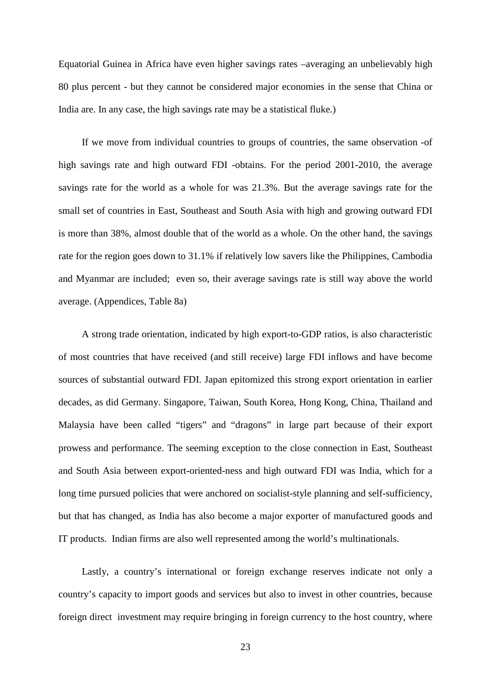Equatorial Guinea in Africa have even higher savings rates –averaging an unbelievably high 80 plus percent - but they cannot be considered major economies in the sense that China or India are. In any case, the high savings rate may be a statistical fluke.)

If we move from individual countries to groups of countries, the same observation -of high savings rate and high outward FDI -obtains. For the period 2001-2010, the average savings rate for the world as a whole for was 21.3%. But the average savings rate for the small set of countries in East, Southeast and South Asia with high and growing outward FDI is more than 38%, almost double that of the world as a whole. On the other hand, the savings rate for the region goes down to 31.1% if relatively low savers like the Philippines, Cambodia and Myanmar are included; even so, their average savings rate is still way above the world average. (Appendices, Table 8a)

A strong trade orientation, indicated by high export-to-GDP ratios, is also characteristic of most countries that have received (and still receive) large FDI inflows and have become sources of substantial outward FDI. Japan epitomized this strong export orientation in earlier decades, as did Germany. Singapore, Taiwan, South Korea, Hong Kong, China, Thailand and Malaysia have been called "tigers" and "dragons" in large part because of their export prowess and performance. The seeming exception to the close connection in East, Southeast and South Asia between export-oriented-ness and high outward FDI was India, which for a long time pursued policies that were anchored on socialist-style planning and self-sufficiency, but that has changed, as India has also become a major exporter of manufactured goods and IT products. Indian firms are also well represented among the world's multinationals.

Lastly, a country's international or foreign exchange reserves indicate not only a country's capacity to import goods and services but also to invest in other countries, because foreign direct investment may require bringing in foreign currency to the host country, where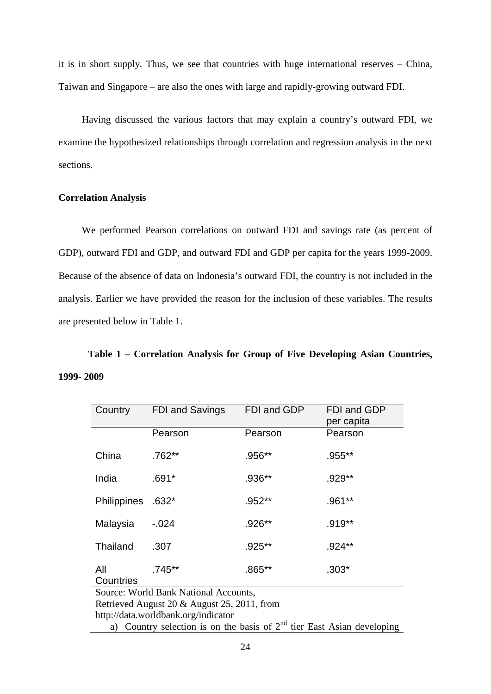it is in short supply. Thus, we see that countries with huge international reserves – China, Taiwan and Singapore – are also the ones with large and rapidly-growing outward FDI.

Having discussed the various factors that may explain a country's outward FDI, we examine the hypothesized relationships through correlation and regression analysis in the next sections.

#### **Correlation Analysis**

We performed Pearson correlations on outward FDI and savings rate (as percent of GDP), outward FDI and GDP, and outward FDI and GDP per capita for the years 1999-2009. Because of the absence of data on Indonesia's outward FDI, the country is not included in the analysis. Earlier we have provided the reason for the inclusion of these variables. The results are presented below in Table 1.

# **Table 1 – Correlation Analysis for Group of Five Developing Asian Countries, 1999- 2009**

| Country                                     | FDI and Savings                                                          | FDI and GDP | FDI and GDP<br>per capita |  |  |  |  |  |  |  |  |
|---------------------------------------------|--------------------------------------------------------------------------|-------------|---------------------------|--|--|--|--|--|--|--|--|
|                                             | Pearson                                                                  | Pearson     | Pearson                   |  |  |  |  |  |  |  |  |
| China                                       | $.762**$                                                                 | .956**      | .955**                    |  |  |  |  |  |  |  |  |
| India                                       | $.691*$                                                                  | .936**      | .929**                    |  |  |  |  |  |  |  |  |
| <b>Philippines</b>                          | $.632*$                                                                  | .952**      | .961**                    |  |  |  |  |  |  |  |  |
| Malaysia                                    | $-0.024$                                                                 | .926**      | .919**                    |  |  |  |  |  |  |  |  |
| Thailand                                    | .307                                                                     | .925**      | .924**                    |  |  |  |  |  |  |  |  |
| All<br>Countries                            | $.745**$                                                                 | $.865**$    | $.303*$                   |  |  |  |  |  |  |  |  |
|                                             | Source: World Bank National Accounts,                                    |             |                           |  |  |  |  |  |  |  |  |
| Retrieved August 20 & August 25, 2011, from |                                                                          |             |                           |  |  |  |  |  |  |  |  |
| http://data.worldbank.org/indicator         |                                                                          |             |                           |  |  |  |  |  |  |  |  |
|                                             | a) Country selection is on the basis of $2nd$ tier East Asian developing |             |                           |  |  |  |  |  |  |  |  |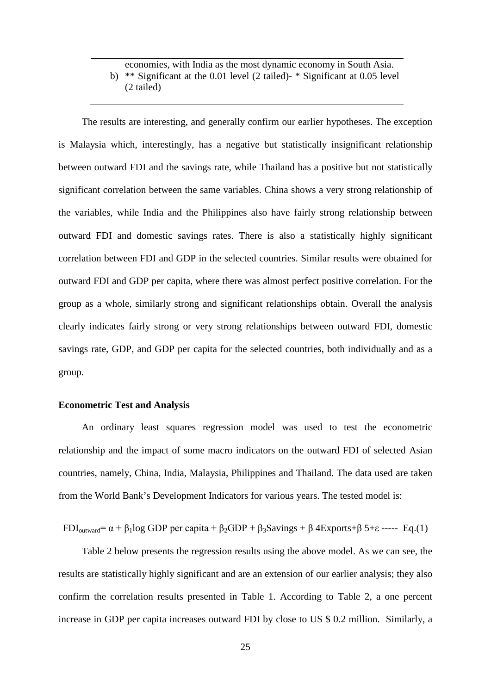### economies, with India as the most dynamic economy in South Asia. b) \*\* Significant at the 0.01 level (2 tailed)- \* Significant at 0.05 level (2 tailed)

The results are interesting, and generally confirm our earlier hypotheses. The exception is Malaysia which, interestingly, has a negative but statistically insignificant relationship between outward FDI and the savings rate, while Thailand has a positive but not statistically significant correlation between the same variables. China shows a very strong relationship of the variables, while India and the Philippines also have fairly strong relationship between outward FDI and domestic savings rates. There is also a statistically highly significant correlation between FDI and GDP in the selected countries. Similar results were obtained for outward FDI and GDP per capita, where there was almost perfect positive correlation. For the group as a whole, similarly strong and significant relationships obtain. Overall the analysis clearly indicates fairly strong or very strong relationships between outward FDI, domestic savings rate, GDP, and GDP per capita for the selected countries, both individually and as a group.

#### **Econometric Test and Analysis**

An ordinary least squares regression model was used to test the econometric relationship and the impact of some macro indicators on the outward FDI of selected Asian countries, namely, China, India, Malaysia, Philippines and Thailand. The data used are taken from the World Bank's Development Indicators for various years. The tested model is:

FDI<sub>outward</sub>=  $\alpha$  +  $\beta$ <sub>1</sub>log GDP per capita +  $\beta$ <sub>2</sub>GDP +  $\beta$ <sub>3</sub>Savings +  $\beta$  4Exports+ $\beta$  5+ $\varepsilon$  ----- Eq.(1)

Table 2 below presents the regression results using the above model. As we can see, the results are statistically highly significant and are an extension of our earlier analysis; they also confirm the correlation results presented in Table 1. According to Table 2, a one percent increase in GDP per capita increases outward FDI by close to US \$ 0.2 million. Similarly, a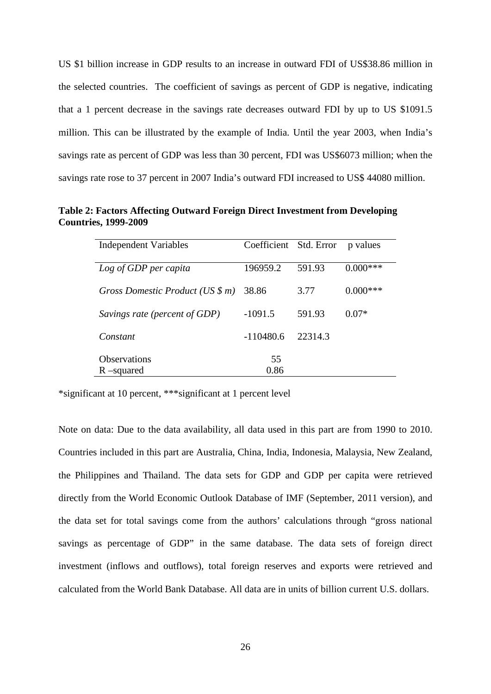US \$1 billion increase in GDP results to an increase in outward FDI of US\$38.86 million in the selected countries. The coefficient of savings as percent of GDP is negative, indicating that a 1 percent decrease in the savings rate decreases outward FDI by up to US \$1091.5 million. This can be illustrated by the example of India. Until the year 2003, when India's savings rate as percent of GDP was less than 30 percent, FDI was US\$6073 million; when the savings rate rose to 37 percent in 2007 India's outward FDI increased to US\$ 44080 million.

**Table 2: Factors Affecting Outward Foreign Direct Investment from Developing Countries, 1999-2009**

| <b>Independent Variables</b>      | Coefficient Std. Error |         | p values    |
|-----------------------------------|------------------------|---------|-------------|
|                                   |                        |         |             |
| Log of GDP per capita             | 196959.2               | 591.93  | $0.000$ *** |
|                                   |                        |         |             |
| Gross Domestic Product (US $\$ m) | 38.86                  | 3.77    | $0.000$ *** |
|                                   |                        |         |             |
| Savings rate (percent of GDP)     | $-1091.5$              | 591.93  | $0.07*$     |
|                                   |                        |         |             |
| Constant                          | $-110480.6$            | 22314.3 |             |
|                                   |                        |         |             |
| <b>Observations</b>               | 55                     |         |             |
| $R$ –squared                      | 0.86                   |         |             |

\*significant at 10 percent, \*\*\*significant at 1 percent level

Note on data: Due to the data availability, all data used in this part are from 1990 to 2010. Countries included in this part are Australia, China, India, Indonesia, Malaysia, New Zealand, the Philippines and Thailand. The data sets for GDP and GDP per capita were retrieved directly from the World Economic Outlook Database of IMF (September, 2011 version), and the data set for total savings come from the authors' calculations through "gross national savings as percentage of GDP" in the same database. The data sets of foreign direct investment (inflows and outflows), total foreign reserves and exports were retrieved and calculated from the World Bank Database. All data are in units of billion current U.S. dollars.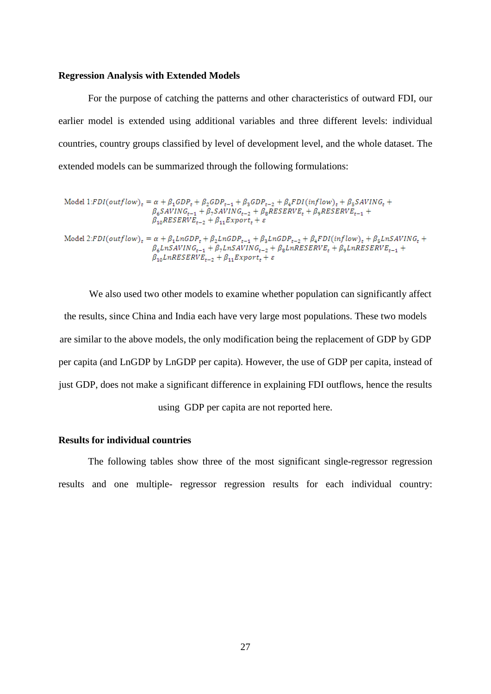#### **Regression Analysis with Extended Models**

For the purpose of catching the patterns and other characteristics of outward FDI, our earlier model is extended using additional variables and three different levels: individual countries, country groups classified by level of development level, and the whole dataset. The extended models can be summarized through the following formulations:

Model 1:FDI(outflow)<sub>t</sub> = 
$$
\alpha + \beta_1 GDP_t + \beta_2 GDP_{t-1} + \beta_3 GDP_{t-2} + \beta_4 FDI(inflow)_t + \beta_5 SAVING_t + \beta_6 SAVING_{t-1} + \beta_7 SAVING_{t-2} + \beta_8 RESERVE_t + \beta_9 RESERVE_{t-1} + \beta_{10} RESERVE_{t-2} + \beta_{11} Export_t + \varepsilon
$$

Model 2:FDI(outflow)<sub>t</sub> =  $\alpha + \beta_1 ln GDP_t + \beta_2 ln GDP_{t-1} + \beta_3 ln GDP_{t-2} + \beta_4 FDI(inflow)_t + \beta_5 LnSAVING_t +$  $\beta_6 L nSAVING_{t-1} + \beta_7 L nSAVING_{t-2} + \beta_8 L nRESERVE_t + \beta_9 L nRESERVE_{t-1} +$  $\beta_{10}$ LnRESERVE<sub>t-2</sub> +  $\beta_{11}$ Export<sub>t</sub> +  $\varepsilon$ 

We also used two other models to examine whether population can significantly affect the results, since China and India each have very large most populations. These two models are similar to the above models, the only modification being the replacement of GDP by GDP per capita (and LnGDP by LnGDP per capita). However, the use of GDP per capita, instead of just GDP, does not make a significant difference in explaining FDI outflows, hence the results using GDP per capita are not reported here.

#### **Results for individual countries**

The following tables show three of the most significant single-regressor regression results and one multiple- regressor regression results for each individual country: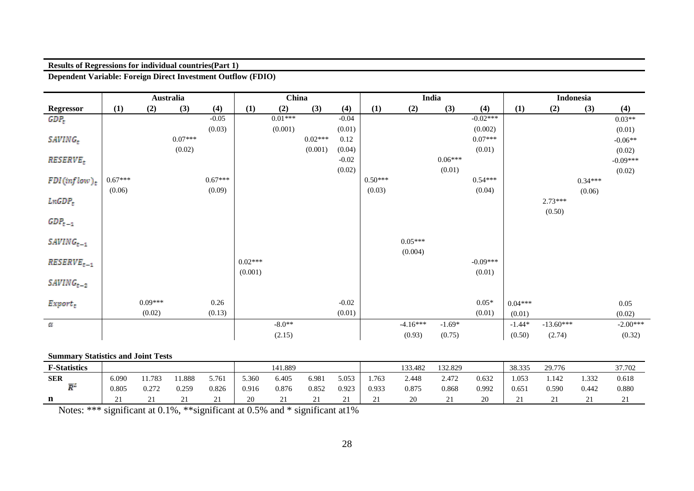#### **Results of Regressions for individual countries(Part 1)**

**Dependent Variable: Foreign Direct Investment Outflow (FDIO)**

|                        |           |           | Australia |           |           | China     |           |         |           |            | India     |            |           |             | Indonesia |            |
|------------------------|-----------|-----------|-----------|-----------|-----------|-----------|-----------|---------|-----------|------------|-----------|------------|-----------|-------------|-----------|------------|
| <b>Regressor</b>       | (1)       | (2)       | (3)       | (4)       | (1)       | (2)       | (3)       | (4)     | (1)       | (2)        | (3)       | (4)        | (1)       | (2)         | (3)       | (4)        |
| $GDP_{t}$              |           |           |           | $-0.05$   |           | $0.01***$ |           | $-0.04$ |           |            |           | $-0.02***$ |           |             |           | $0.03**$   |
|                        |           |           |           | (0.03)    |           | (0.001)   |           | (0.01)  |           |            |           | (0.002)    |           |             |           | (0.01)     |
| SAVING <sub>x</sub>    |           |           | $0.07***$ |           |           |           | $0.02***$ | 0.12    |           |            |           | $0.07***$  |           |             |           | $-0.06**$  |
|                        |           |           | (0.02)    |           |           |           | (0.001)   | (0.04)  |           |            |           | (0.01)     |           |             |           | (0.02)     |
| <i><b>RESERVE.</b></i> |           |           |           |           |           |           |           | $-0.02$ |           |            | $0.06***$ |            |           |             |           | $-0.09***$ |
|                        |           |           |           |           |           |           |           | (0.02)  |           |            | (0.01)    |            |           |             |           | (0.02)     |
| $FDI(intlow)_t$        | $0.67***$ |           |           | $0.67***$ |           |           |           |         | $0.50***$ |            |           | $0.54***$  |           |             | $0.34***$ |            |
|                        | (0.06)    |           |           | (0.09)    |           |           |           |         | (0.03)    |            |           | (0.04)     |           |             | (0.06)    |            |
| LnGDP <sub>t</sub>     |           |           |           |           |           |           |           |         |           |            |           |            |           | $2.73***$   |           |            |
|                        |           |           |           |           |           |           |           |         |           |            |           |            |           | (0.50)      |           |            |
| $GDP_{t-1}$            |           |           |           |           |           |           |           |         |           |            |           |            |           |             |           |            |
|                        |           |           |           |           |           |           |           |         |           |            |           |            |           |             |           |            |
| $SAVING_{t-1}$         |           |           |           |           |           |           |           |         |           | $0.05***$  |           |            |           |             |           |            |
|                        |           |           |           |           | $0.02***$ |           |           |         |           | (0.004)    |           | $-0.09***$ |           |             |           |            |
| RESERVE <sub>t-1</sub> |           |           |           |           | (0.001)   |           |           |         |           |            |           | (0.01)     |           |             |           |            |
| $SAVING_{t-2}$         |           |           |           |           |           |           |           |         |           |            |           |            |           |             |           |            |
|                        |           |           |           |           |           |           |           |         |           |            |           |            |           |             |           |            |
| Export <sub>t</sub>    |           | $0.09***$ |           | 0.26      |           |           |           | $-0.02$ |           |            |           | $0.05*$    | $0.04***$ |             |           | 0.05       |
|                        |           | (0.02)    |           | (0.13)    |           |           |           | (0.01)  |           |            |           | (0.01)     | (0.01)    |             |           | (0.02)     |
| Œ                      |           |           |           |           |           | $-8.0**$  |           |         |           | $-4.16***$ | $-1.69*$  |            | $-1.44*$  | $-13.60***$ |           | $-2.00***$ |
|                        |           |           |           |           |           | (2.15)    |           |         |           | (0.93)     | (0.75)    |            |           | (2.74)      |           | (0.32)     |
|                        |           |           |           |           |           |           |           |         |           |            |           |            | (0.50)    |             |           |            |

#### **Summary Statistics and Joint Tests**

| <b>F-Statistics</b> |       |       |       |                    |       | 141.889 |       |            |       | 133.482 | 132.829  |       | 38.335 | 29.776   |          | 37.702             |
|---------------------|-------|-------|-------|--------------------|-------|---------|-------|------------|-------|---------|----------|-------|--------|----------|----------|--------------------|
| <b>SER</b>          | 6.090 | 1.783 | 1.888 | 5.761              | 5.360 | 6.405   | 6.981 | 5.053      | .763  | 2.448   | 2.472    | 0.632 | .053   | 1.142    | 1.332    | 0.618              |
| 云丛                  | 0.805 | 0.272 | 0.259 | 0.826              | 0.916 | 0.876   | 0.852 | 0.923      | 0.933 | 0.875   | 0.868    | 0.992 | 0.65   | 0.590    | 0.442    | 0.880              |
|                     |       | ∸     | ∸     | $\sim$<br><u>.</u> |       |         | ◢     | <u>، ب</u> |       | 20      | <u>.</u> | ZU    |        | <u>.</u> | <u>.</u> | $\sim$<br>$\sim$ 1 |

Notes: \*\*\* significant at 0.1%, \*\*significant at 0.5% and \* significant at1%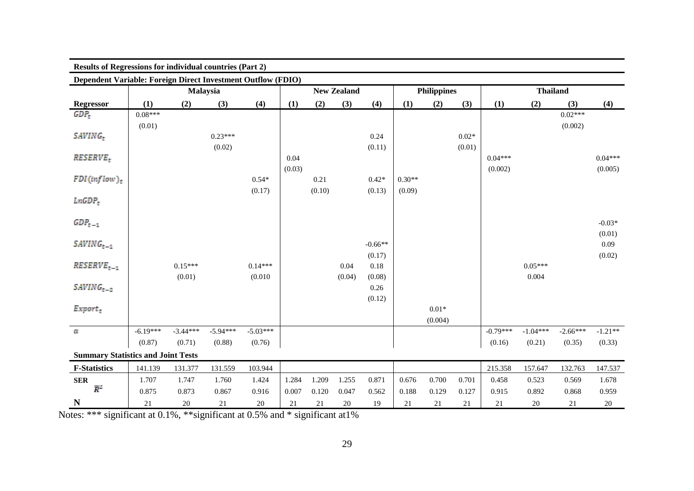| <b>Results of Regressions for individual countries (Part 2)</b> |            |                 |            |            |        |        |                    |           |          |                    |         |            |                 |            |           |
|-----------------------------------------------------------------|------------|-----------------|------------|------------|--------|--------|--------------------|-----------|----------|--------------------|---------|------------|-----------------|------------|-----------|
| Dependent Variable: Foreign Direct Investment Outflow (FDIO)    |            |                 |            |            |        |        |                    |           |          |                    |         |            |                 |            |           |
|                                                                 |            | <b>Malaysia</b> |            |            |        |        | <b>New Zealand</b> |           |          | <b>Philippines</b> |         |            | <b>Thailand</b> |            |           |
| <b>Regressor</b>                                                | (1)        | (2)             | (3)        | (4)        | (1)    | (2)    | (3)                | (4)       | (1)      | (2)                | (3)     | (1)        | (2)             | (3)        | (4)       |
| GDP <sub>t</sub>                                                | $0.08***$  |                 |            |            |        |        |                    |           |          |                    |         |            |                 | $0.02***$  |           |
|                                                                 | (0.01)     |                 |            |            |        |        |                    |           |          |                    |         |            |                 | (0.002)    |           |
| SAVING,                                                         |            |                 | $0.23***$  |            |        |        |                    | 0.24      |          |                    | $0.02*$ |            |                 |            |           |
|                                                                 |            |                 | (0.02)     |            |        |        |                    | (0.11)    |          |                    | (0.01)  |            |                 |            |           |
| <b>RESERVE.</b>                                                 |            |                 |            |            | 0.04   |        |                    |           |          |                    |         | $0.04***$  |                 |            | $0.04***$ |
|                                                                 |            |                 |            |            | (0.03) |        |                    |           |          |                    |         | (0.002)    |                 |            | (0.005)   |
| $FDI$ (inflow) <sub>s</sub>                                     |            |                 |            | $0.54*$    |        | 0.21   |                    | $0.42*$   | $0.30**$ |                    |         |            |                 |            |           |
|                                                                 |            |                 |            | (0.17)     |        | (0.10) |                    | (0.13)    | (0.09)   |                    |         |            |                 |            |           |
| LnGDP <sub>g</sub>                                              |            |                 |            |            |        |        |                    |           |          |                    |         |            |                 |            |           |
| $GDP_{t-1}$                                                     |            |                 |            |            |        |        |                    |           |          |                    |         |            |                 |            | $-0.03*$  |
|                                                                 |            |                 |            |            |        |        |                    |           |          |                    |         |            |                 |            | (0.01)    |
| $SAVING_{t-1}$                                                  |            |                 |            |            |        |        |                    | $-0.66**$ |          |                    |         |            |                 |            | 0.09      |
|                                                                 |            |                 |            |            |        |        |                    | (0.17)    |          |                    |         |            |                 |            | (0.02)    |
| <b>RESERVE</b>                                                  |            | $0.15***$       |            | $0.14***$  |        |        | 0.04               | 0.18      |          |                    |         |            | $0.05***$       |            |           |
|                                                                 |            | (0.01)          |            | (0.010)    |        |        | (0.04)             | (0.08)    |          |                    |         |            | 0.004           |            |           |
| $SAVING_{\tau-2}$                                               |            |                 |            |            |        |        |                    | 0.26      |          |                    |         |            |                 |            |           |
|                                                                 |            |                 |            |            |        |        |                    | (0.12)    |          |                    |         |            |                 |            |           |
| $Expert_{\pi}$                                                  |            |                 |            |            |        |        |                    |           |          | $0.01*$            |         |            |                 |            |           |
|                                                                 |            |                 |            |            |        |        |                    |           |          | (0.004)            |         |            |                 |            |           |
| OE.                                                             | $-6.19***$ | $-3.44***$      | $-5.94***$ | $-5.03***$ |        |        |                    |           |          |                    |         | $-0.79***$ | $-1.04***$      | $-2.66***$ | $-1.21**$ |
|                                                                 | (0.87)     | (0.71)          | (0.88)     | (0.76)     |        |        |                    |           |          |                    |         | (0.16)     | (0.21)          | (0.35)     | (0.33)    |
| <b>Summary Statistics and Joint Tests</b>                       |            |                 |            |            |        |        |                    |           |          |                    |         |            |                 |            |           |
| <b>F-Statistics</b>                                             | 141.139    | 131.377         | 131.559    | 103.944    |        |        |                    |           |          |                    |         | 215.358    | 157.647         | 132.763    | 147.537   |
| <b>SER</b>                                                      | 1.707      | 1.747           | 1.760      | 1.424      | 1.284  | 1.209  | 1.255              | 0.871     | 0.676    | 0.700              | 0.701   | 0.458      | 0.523           | 0.569      | 1.678     |
| $\bar{R}^2$                                                     | 0.875      | 0.873           | 0.867      | 0.916      | 0.007  | 0.120  | 0.047              | 0.562     | 0.188    | 0.129              | 0.127   | 0.915      | 0.892           | 0.868      | 0.959     |
| N                                                               | 21         | 20              | 21         | 20         | 21     | 21     | 20                 | 19        | 21       | 21                 | 21      | 21         | 20              | 21         | $20\,$    |

Notes: \*\*\* significant at 0.1%, \*\*significant at 0.5% and \* significant at1%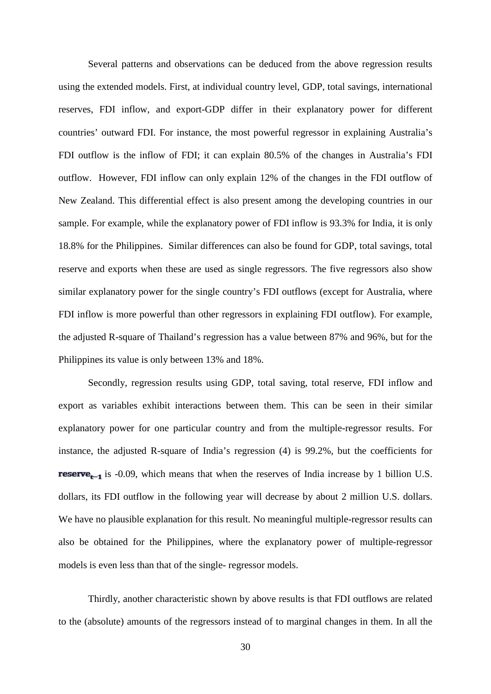Several patterns and observations can be deduced from the above regression results using the extended models. First, at individual country level, GDP, total savings, international reserves, FDI inflow, and export-GDP differ in their explanatory power for different countries' outward FDI. For instance, the most powerful regressor in explaining Australia's FDI outflow is the inflow of FDI; it can explain 80.5% of the changes in Australia's FDI outflow. However, FDI inflow can only explain 12% of the changes in the FDI outflow of New Zealand. This differential effect is also present among the developing countries in our sample. For example, while the explanatory power of FDI inflow is 93.3% for India, it is only 18.8% for the Philippines. Similar differences can also be found for GDP, total savings, total reserve and exports when these are used as single regressors. The five regressors also show similar explanatory power for the single country's FDI outflows (except for Australia, where FDI inflow is more powerful than other regressors in explaining FDI outflow). For example, the adjusted R-square of Thailand's regression has a value between 87% and 96%, but for the Philippines its value is only between 13% and 18%.

Secondly, regression results using GDP, total saving, total reserve, FDI inflow and export as variables exhibit interactions between them. This can be seen in their similar explanatory power for one particular country and from the multiple-regressor results. For instance, the adjusted R-square of India's regression (4) is 99.2%, but the coefficients for **reserve<sub>t-1</sub>** is -0.09, which means that when the reserves of India increase by 1 billion U.S. dollars, its FDI outflow in the following year will decrease by about 2 million U.S. dollars. We have no plausible explanation for this result. No meaningful multiple-regressor results can also be obtained for the Philippines, where the explanatory power of multiple-regressor models is even less than that of the single- regressor models.

Thirdly, another characteristic shown by above results is that FDI outflows are related to the (absolute) amounts of the regressors instead of to marginal changes in them. In all the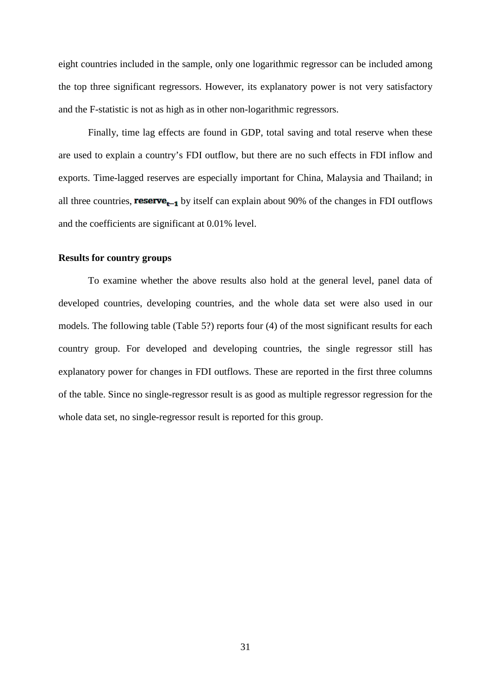eight countries included in the sample, only one logarithmic regressor can be included among the top three significant regressors. However, its explanatory power is not very satisfactory and the F-statistic is not as high as in other non-logarithmic regressors.

Finally, time lag effects are found in GDP, total saving and total reserve when these are used to explain a country's FDI outflow, but there are no such effects in FDI inflow and exports. Time-lagged reserves are especially important for China, Malaysia and Thailand; in all three countries, **reserve<sub>r-1</sub>** by itself can explain about 90% of the changes in FDI outflows and the coefficients are significant at 0.01% level.

#### **Results for country groups**

To examine whether the above results also hold at the general level, panel data of developed countries, developing countries, and the whole data set were also used in our models. The following table (Table 5?) reports four (4) of the most significant results for each country group. For developed and developing countries, the single regressor still has explanatory power for changes in FDI outflows. These are reported in the first three columns of the table. Since no single-regressor result is as good as multiple regressor regression for the whole data set, no single-regressor result is reported for this group.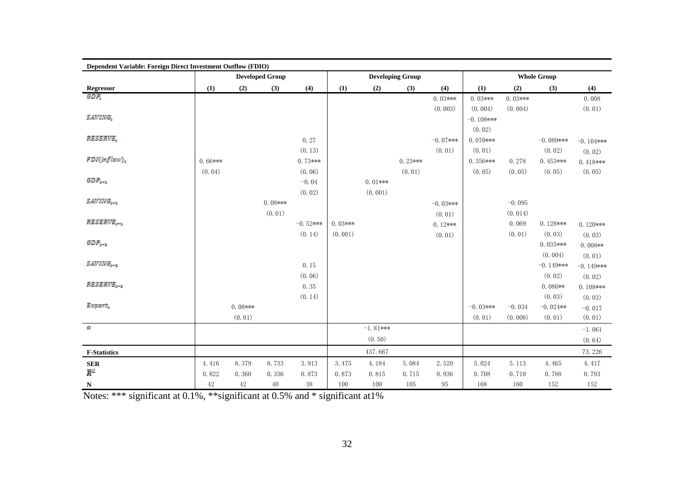| Dependent Variable: Foreign Direct Investment Outflow (FDIO) |           |           |                        |            |           |            |                         |             |              |           |                    |              |
|--------------------------------------------------------------|-----------|-----------|------------------------|------------|-----------|------------|-------------------------|-------------|--------------|-----------|--------------------|--------------|
|                                                              |           |           | <b>Developed Group</b> |            |           |            | <b>Developing Group</b> |             |              |           | <b>Whole Group</b> |              |
| Regressor                                                    | (1)       | (2)       | (3)                    | (4)        | (1)       | (2)        | (3)                     | (4)         | (1)          | (2)       | (3)                | (4)          |
| <b>GDR</b>                                                   |           |           |                        |            |           |            |                         | $0.03***$   | $0.03***$    | $0.03***$ |                    | 0.008        |
|                                                              |           |           |                        |            |           |            |                         | (0.003)     | (0.004)      | (0.004)   |                    | (0.01)       |
| <b>SAVING,</b>                                               |           |           |                        |            |           |            |                         |             | $-0.108$ *** |           |                    |              |
|                                                              |           |           |                        |            |           |            |                         |             | (0.02)       |           |                    |              |
| RESERVE.                                                     |           |           |                        | 0.27       |           |            |                         | $-0.07$ *** | $0.070***$   |           | $-0.089$ ***       | $-0.104$ *** |
|                                                              |           |           |                        | (0.13)     |           |            |                         | (0.01)      | (0.01)       |           | (0.02)             | (0.02)       |
| FDM inflow).                                                 | $0.66***$ |           |                        | $0.73***$  |           |            | $0.23***$               |             | $0.356***$   | 0.278     | $0.453***$         | $0.418***$   |
|                                                              | (0.04)    |           |                        | (0.06)     |           |            | (0.01)                  |             | (0.05)       | (0.05)    | (0.05)             | (0.05)       |
| $GDP_{n-2}$                                                  |           |           |                        | $-0.04$    |           | $0.01$ *** |                         |             |              |           |                    |              |
|                                                              |           |           |                        | (0.02)     |           | (0.001)    |                         |             |              |           |                    |              |
| SAVING                                                       |           |           | $0.08***$              |            |           |            |                         | $-0.03***$  |              | $-0.095$  |                    |              |
|                                                              |           |           | (0.01)                 |            |           |            |                         | (0.01)      |              | (0.014)   |                    |              |
| RESERVE                                                      |           |           |                        | $-0.52***$ | $0.03***$ |            |                         | $0.12***$   |              | 0.069     | $0.128***$         | $0.120***$   |
|                                                              |           |           |                        | (0.14)     | (0.001)   |            |                         | (0.01)      |              | (0.01)    | (0.03)             | (0.03)       |
| $GDP_{n-z}$                                                  |           |           |                        |            |           |            |                         |             |              |           | $0.035***$         | $0.008**$    |
|                                                              |           |           |                        |            |           |            |                         |             |              |           | (0.004)            | (0.01)       |
| SAVING                                                       |           |           |                        | 0.15       |           |            |                         |             |              |           | $-0.149***$        | $-0.149$ *** |
|                                                              |           |           |                        | (0.06)     |           |            |                         |             |              |           | (0.02)             | (0.02)       |
| RESERVE                                                      |           |           |                        | 0.35       |           |            |                         |             |              |           | $0.086**$          | $0.108***$   |
|                                                              |           |           |                        | (0.14)     |           |            |                         |             |              |           | (0.03)             | (0.03)       |
| Export,                                                      |           | $0.08***$ |                        |            |           |            |                         |             | $-0.03***$   | $-0.034$  | $-0.024**$         | $-0.017$     |
|                                                              |           | (0.01)    |                        |            |           |            |                         |             | (0.01)       | (0.008)   | (0.01)             | (0.01)       |
| $\overline{\omega}$                                          |           |           |                        |            |           | $-1.81***$ |                         |             |              |           |                    | $-1.061$     |
|                                                              |           |           |                        |            |           | (0.50)     |                         |             |              |           |                    | (0.64)       |
| <b>F-Statistics</b>                                          |           |           |                        |            |           | 437.667    |                         |             |              |           |                    | 73.226       |
| <b>SER</b>                                                   | 4.416     | 8.379     | 8.733                  | 3.913      | 3.475     | 4.184      | 5.084                   | 2.520       | 5.024        | 5.113     | 4.465              | 4.417        |
| $\bar{R}^2$                                                  | 0.822     | 0.360     | 0.336                  | 0.873      | 0.873     | 0.815      | 0.715                   | 0.936       | 0.708        | 0.710     | 0.788              | 0.793        |
| $\mathbf N$                                                  | $42\,$    | 42        | 40                     | $38\,$     | 100       | 100        | 105                     | 95          | 168          | 160       | 152                | 152          |

Notes: \*\*\* significant at 0.1%, \*\*significant at 0.5% and \* significant at1%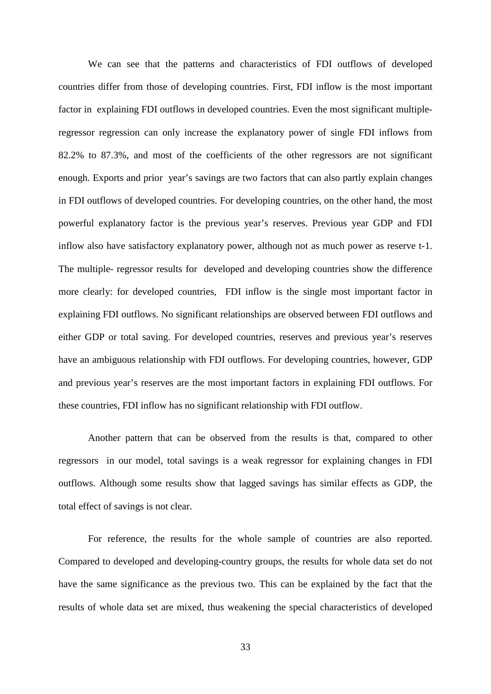We can see that the patterns and characteristics of FDI outflows of developed countries differ from those of developing countries. First, FDI inflow is the most important factor in explaining FDI outflows in developed countries. Even the most significant multipleregressor regression can only increase the explanatory power of single FDI inflows from 82.2% to 87.3%, and most of the coefficients of the other regressors are not significant enough. Exports and prior year's savings are two factors that can also partly explain changes in FDI outflows of developed countries. For developing countries, on the other hand, the most powerful explanatory factor is the previous year's reserves. Previous year GDP and FDI inflow also have satisfactory explanatory power, although not as much power as reserve t-1. The multiple- regressor results for developed and developing countries show the difference more clearly: for developed countries, FDI inflow is the single most important factor in explaining FDI outflows. No significant relationships are observed between FDI outflows and either GDP or total saving. For developed countries, reserves and previous year's reserves have an ambiguous relationship with FDI outflows. For developing countries, however, GDP and previous year's reserves are the most important factors in explaining FDI outflows. For these countries, FDI inflow has no significant relationship with FDI outflow.

Another pattern that can be observed from the results is that, compared to other regressors in our model, total savings is a weak regressor for explaining changes in FDI outflows. Although some results show that lagged savings has similar effects as GDP, the total effect of savings is not clear.

For reference, the results for the whole sample of countries are also reported. Compared to developed and developing-country groups, the results for whole data set do not have the same significance as the previous two. This can be explained by the fact that the results of whole data set are mixed, thus weakening the special characteristics of developed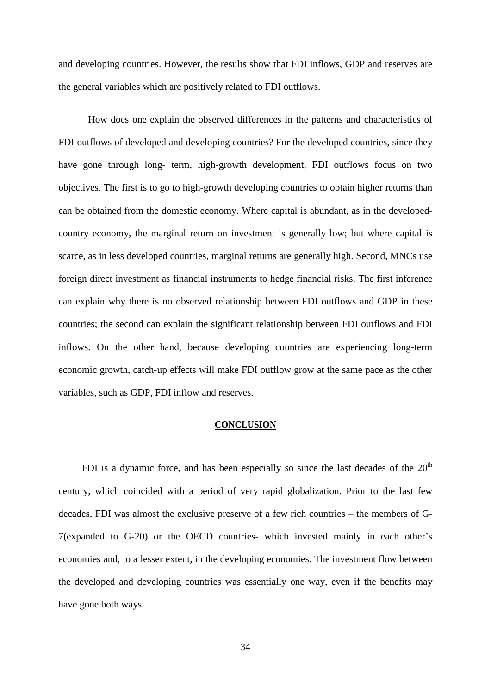and developing countries. However, the results show that FDI inflows, GDP and reserves are the general variables which are positively related to FDI outflows.

How does one explain the observed differences in the patterns and characteristics of FDI outflows of developed and developing countries? For the developed countries, since they have gone through long- term, high-growth development, FDI outflows focus on two objectives. The first is to go to high-growth developing countries to obtain higher returns than can be obtained from the domestic economy. Where capital is abundant, as in the developedcountry economy, the marginal return on investment is generally low; but where capital is scarce, as in less developed countries, marginal returns are generally high. Second, MNCs use foreign direct investment as financial instruments to hedge financial risks. The first inference can explain why there is no observed relationship between FDI outflows and GDP in these countries; the second can explain the significant relationship between FDI outflows and FDI inflows. On the other hand, because developing countries are experiencing long-term economic growth, catch-up effects will make FDI outflow grow at the same pace as the other variables, such as GDP, FDI inflow and reserves.

#### **CONCLUSION**

FDI is a dynamic force, and has been especially so since the last decades of the  $20<sup>th</sup>$ century, which coincided with a period of very rapid globalization. Prior to the last few decades, FDI was almost the exclusive preserve of a few rich countries – the members of G-7(expanded to G-20) or the OECD countries- which invested mainly in each other's economies and, to a lesser extent, in the developing economies. The investment flow between the developed and developing countries was essentially one way, even if the benefits may have gone both ways.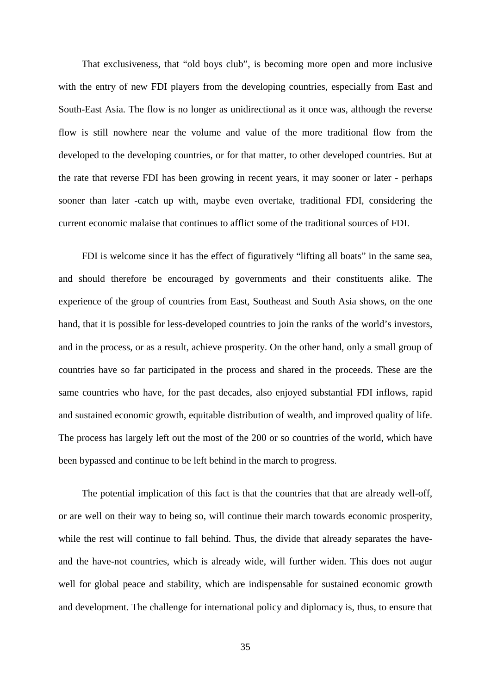That exclusiveness, that "old boys club", is becoming more open and more inclusive with the entry of new FDI players from the developing countries, especially from East and South-East Asia. The flow is no longer as unidirectional as it once was, although the reverse flow is still nowhere near the volume and value of the more traditional flow from the developed to the developing countries, or for that matter, to other developed countries. But at the rate that reverse FDI has been growing in recent years, it may sooner or later - perhaps sooner than later -catch up with, maybe even overtake, traditional FDI, considering the current economic malaise that continues to afflict some of the traditional sources of FDI.

FDI is welcome since it has the effect of figuratively "lifting all boats" in the same sea, and should therefore be encouraged by governments and their constituents alike. The experience of the group of countries from East, Southeast and South Asia shows, on the one hand, that it is possible for less-developed countries to join the ranks of the world's investors, and in the process, or as a result, achieve prosperity. On the other hand, only a small group of countries have so far participated in the process and shared in the proceeds. These are the same countries who have, for the past decades, also enjoyed substantial FDI inflows, rapid and sustained economic growth, equitable distribution of wealth, and improved quality of life. The process has largely left out the most of the 200 or so countries of the world, which have been bypassed and continue to be left behind in the march to progress.

The potential implication of this fact is that the countries that that are already well-off, or are well on their way to being so, will continue their march towards economic prosperity, while the rest will continue to fall behind. Thus, the divide that already separates the haveand the have-not countries, which is already wide, will further widen. This does not augur well for global peace and stability, which are indispensable for sustained economic growth and development. The challenge for international policy and diplomacy is, thus, to ensure that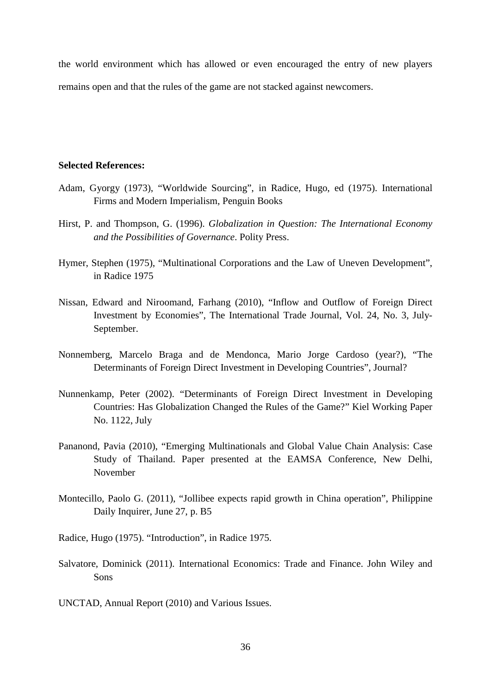the world environment which has allowed or even encouraged the entry of new players remains open and that the rules of the game are not stacked against newcomers.

#### **Selected References:**

- Adam, Gyorgy (1973), "Worldwide Sourcing", in Radice, Hugo, ed (1975). International Firms and Modern Imperialism, Penguin Books
- Hirst, P. and Thompson, G. (1996). *Globalization in Question: The International Economy and the Possibilities of Governance*. Polity Press.
- Hymer, Stephen (1975), "Multinational Corporations and the Law of Uneven Development", in Radice 1975
- Nissan, Edward and Niroomand, Farhang (2010), "Inflow and Outflow of Foreign Direct Investment by Economies", The International Trade Journal, Vol. 24, No. 3, July-September.
- Nonnemberg, Marcelo Braga and de Mendonca, Mario Jorge Cardoso (year?), "The Determinants of Foreign Direct Investment in Developing Countries", Journal?
- Nunnenkamp, Peter (2002). "Determinants of Foreign Direct Investment in Developing Countries: Has Globalization Changed the Rules of the Game?" Kiel Working Paper No. 1122, July
- Pananond, Pavia (2010), "Emerging Multinationals and Global Value Chain Analysis: Case Study of Thailand. Paper presented at the EAMSA Conference, New Delhi, November
- Montecillo, Paolo G. (2011), "Jollibee expects rapid growth in China operation", Philippine Daily Inquirer, June 27, p. B5

Radice, Hugo (1975). "Introduction", in Radice 1975.

Salvatore, Dominick (2011). International Economics: Trade and Finance. John Wiley and Sons

UNCTAD, Annual Report (2010) and Various Issues.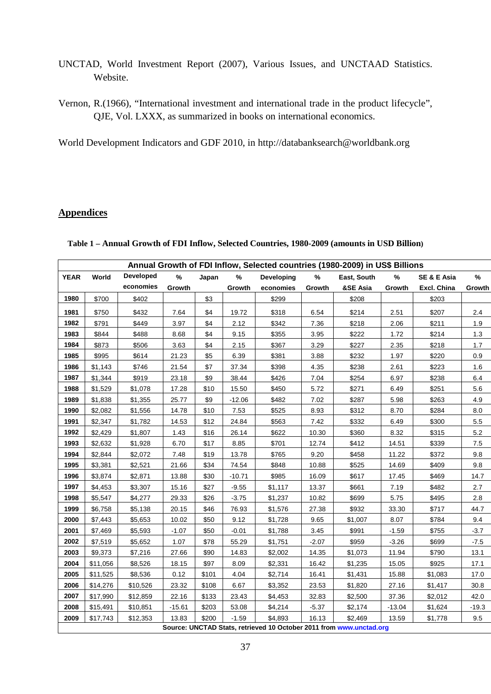- UNCTAD, World Investment Report (2007), Various Issues, and UNCTAAD Statistics. Website.
- Vernon, R.(1966), "International investment and international trade in the product lifecycle", QJE, Vol. LXXX, as summarized in books on international economics.

World Development Indicators and GDF 2010, in http://databanksearch@worldbank.org

## **Appendices**

| Annual Growth of FDI Inflow, Selected countries (1980-2009) in US\$ Billions |          |                  |          |       |          |                   |         |                                                                     |          |                        |        |  |
|------------------------------------------------------------------------------|----------|------------------|----------|-------|----------|-------------------|---------|---------------------------------------------------------------------|----------|------------------------|--------|--|
| <b>YEAR</b>                                                                  | World    | <b>Developed</b> | %        | Japan | %        | <b>Developing</b> | %       | East, South                                                         | %        | <b>SE &amp; E Asia</b> | %      |  |
|                                                                              |          | economies        | Growth   |       | Growth   | economies         | Growth  | &SE Asia                                                            | Growth   | Excl. China            | Growth |  |
| 1980                                                                         | \$700    | \$402            |          | \$3   |          | \$299             |         | \$208                                                               |          | \$203                  |        |  |
| 1981                                                                         | \$750    | \$432            | 7.64     | \$4   | 19.72    | \$318             | 6.54    | \$214                                                               | 2.51     | \$207                  | 2.4    |  |
| 1982                                                                         | \$791    | \$449            | 3.97     | \$4   | 2.12     | \$342             | 7.36    | \$218                                                               | 2.06     | \$211                  | 1.9    |  |
| 1983                                                                         | \$844    | \$488            | 8.68     | \$4   | 9.15     | \$355             | 3.95    | \$222                                                               | 1.72     | \$214                  | 1.3    |  |
| 1984                                                                         | \$873    | \$506            | 3.63     | \$4   | 2.15     | \$367             | 3.29    | \$227                                                               | 2.35     | \$218                  | 1.7    |  |
| 1985                                                                         | \$995    | \$614            | 21.23    | \$5   | 6.39     | \$381             | 3.88    | \$232                                                               | 1.97     | \$220                  | 0.9    |  |
| 1986                                                                         | \$1,143  | \$746            | 21.54    | \$7   | 37.34    | \$398             | 4.35    | \$238                                                               | 2.61     | \$223                  | 1.6    |  |
| 1987                                                                         | \$1,344  | \$919            | 23.18    | \$9   | 38.44    | \$426             | 7.04    | \$254                                                               | 6.97     | \$238                  | 6.4    |  |
| 1988                                                                         | \$1,529  | \$1,078          | 17.28    | \$10  | 15.50    | \$450             | 5.72    | \$271                                                               | 6.49     | \$251                  | 5.6    |  |
| 1989                                                                         | \$1,838  | \$1,355          | 25.77    | \$9   | $-12.06$ | \$482             | 7.02    | \$287                                                               | 5.98     | \$263                  | 4.9    |  |
| 1990                                                                         | \$2,082  | \$1,556          | 14.78    | \$10  | 7.53     | \$525             | 8.93    | \$312                                                               | 8.70     | \$284                  | 8.0    |  |
| 1991                                                                         | \$2,347  | \$1,782          | 14.53    | \$12  | 24.84    | \$563             | 7.42    | \$332                                                               | 6.49     | \$300                  | 5.5    |  |
| 1992                                                                         | \$2,429  | \$1,807          | 1.43     | \$16  | 26.14    | \$622             | 10.30   | \$360                                                               | 8.32     | \$315                  | 5.2    |  |
| 1993                                                                         | \$2,632  | \$1,928          | 6.70     | \$17  | 8.85     | \$701             | 12.74   | \$412                                                               | 14.51    | \$339                  | 7.5    |  |
| 1994                                                                         | \$2,844  | \$2,072          | 7.48     | \$19  | 13.78    | \$765             | 9.20    | \$458                                                               | 11.22    | \$372                  | 9.8    |  |
| 1995                                                                         | \$3,381  | \$2,521          | 21.66    | \$34  | 74.54    | \$848             | 10.88   | \$525                                                               | 14.69    | \$409                  | 9.8    |  |
| 1996                                                                         | \$3,874  | \$2,871          | 13.88    | \$30  | $-10.71$ | \$985             | 16.09   | \$617                                                               | 17.45    | \$469                  | 14.7   |  |
| 1997                                                                         | \$4,453  | \$3,307          | 15.16    | \$27  | $-9.55$  | \$1,117           | 13.37   | \$661                                                               | 7.19     | \$482                  | 2.7    |  |
| 1998                                                                         | \$5,547  | \$4,277          | 29.33    | \$26  | $-3.75$  | \$1,237           | 10.82   | \$699                                                               | 5.75     | \$495                  | 2.8    |  |
| 1999                                                                         | \$6,758  | \$5,138          | 20.15    | \$46  | 76.93    | \$1,576           | 27.38   | \$932                                                               | 33.30    | \$717                  | 44.7   |  |
| 2000                                                                         | \$7,443  | \$5,653          | 10.02    | \$50  | 9.12     | \$1,728           | 9.65    | \$1,007                                                             | 8.07     | \$784                  | 9.4    |  |
| 2001                                                                         | \$7,469  | \$5,593          | $-1.07$  | \$50  | $-0.01$  | \$1,788           | 3.45    | \$991                                                               | $-1.59$  | \$755                  | $-3.7$ |  |
| 2002                                                                         | \$7,519  | \$5,652          | 1.07     | \$78  | 55.29    | \$1,751           | $-2.07$ | \$959                                                               | $-3.26$  | \$699                  | $-7.5$ |  |
| 2003                                                                         | \$9,373  | \$7,216          | 27.66    | \$90  | 14.83    | \$2,002           | 14.35   | \$1,073                                                             | 11.94    | \$790                  | 13.1   |  |
| 2004                                                                         | \$11,056 | \$8,526          | 18.15    | \$97  | 8.09     | \$2,331           | 16.42   | \$1,235                                                             | 15.05    | \$925                  | 17.1   |  |
| 2005                                                                         | \$11,525 | \$8,536          | 0.12     | \$101 | 4.04     | \$2,714           | 16.41   | \$1,431                                                             | 15.88    | \$1,083                | 17.0   |  |
| 2006                                                                         | \$14,276 | \$10,526         | 23.32    | \$108 | 6.67     | \$3,352           | 23.53   | \$1,820                                                             | 27.16    | \$1,417                | 30.8   |  |
| 2007                                                                         | \$17,990 | \$12,859         | 22.16    | \$133 | 23.43    | \$4,453           | 32.83   | \$2,500                                                             | 37.36    | \$2,012                | 42.0   |  |
| 2008                                                                         | \$15,491 | \$10,851         | $-15.61$ | \$203 | 53.08    | \$4,214           | $-5.37$ | \$2,174                                                             | $-13.04$ | \$1,624                | -19.3  |  |
| 2009                                                                         | \$17,743 | \$12,353         | 13.83    | \$200 | $-1.59$  | \$4,893           | 16.13   | \$2,469                                                             | 13.59    | \$1,778                | 9.5    |  |
|                                                                              |          |                  |          |       |          |                   |         | Source: UNCTAD Stats, retrieved 10 October 2011 from www.unctad.org |          |                        |        |  |

**Table 1 – Annual Growth of FDI Inflow, Selected Countries, 1980-2009 (amounts in USD Billion)**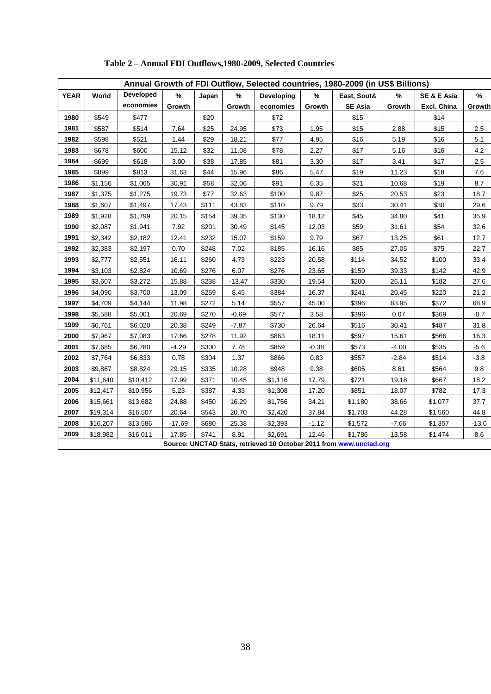|             | Annual Growth of FDI Outflow, Selected countries, 1980-2009 (in US\$ Billions) |                  |          |       |          |            |         |                                                                     |         |             |         |  |  |
|-------------|--------------------------------------------------------------------------------|------------------|----------|-------|----------|------------|---------|---------------------------------------------------------------------|---------|-------------|---------|--|--|
| <b>YEAR</b> | World                                                                          | <b>Developed</b> | %        | Japan | ℅        | Developing | %       | East, Sout&                                                         | %       | SE & E Asia | %       |  |  |
|             |                                                                                | economies        | Growth   |       | Growth   | economies  | Growth  | <b>SE Asia</b>                                                      | Growth  | Excl. China | Growth  |  |  |
| 1980        | \$549                                                                          | \$477            |          | \$20  |          | \$72       |         | \$15                                                                |         | \$14        |         |  |  |
| 1981        | \$587                                                                          | \$514            | 7.64     | \$25  | 24.95    | \$73       | 1.95    | \$15                                                                | 2.88    | \$15        | 2.5     |  |  |
| 1982        | \$598                                                                          | \$521            | 1.44     | \$29  | 18.21    | \$77       | 4.95    | \$16                                                                | 5.19    | \$16        | 5.1     |  |  |
| 1983        | \$678                                                                          | \$600            | 15.12    | \$32  | 11.08    | \$78       | 2.27    | \$17                                                                | 5.16    | \$16        | 4.2     |  |  |
| 1984        | \$699                                                                          | \$618            | 3.00     | \$38  | 17.85    | \$81       | 3.30    | \$17                                                                | 3.41    | \$17        | 2.5     |  |  |
| 1985        | \$899                                                                          | \$813            | 31.63    | \$44  | 15.96    | \$86       | 5.47    | \$19                                                                | 11.23   | \$18        | 7.6     |  |  |
| 1986        | \$1,156                                                                        | \$1,065          | 30.91    | \$58  | 32.06    | \$91       | 6.35    | \$21                                                                | 10.68   | \$19        | 8.7     |  |  |
| 1987        | \$1,375                                                                        | \$1,275          | 19.73    | \$77  | 32.63    | \$100      | 9.87    | \$25                                                                | 20.53   | \$23        | 18.7    |  |  |
| 1988        | \$1,607                                                                        | \$1,497          | 17.43    | \$111 | 43.83    | \$110      | 9.79    | \$33                                                                | 30.41   | \$30        | 29.6    |  |  |
| 1989        | \$1,928                                                                        | \$1,799          | 20.15    | \$154 | 39.35    | \$130      | 18.12   | \$45                                                                | 34.80   | \$41        | 35.9    |  |  |
| 1990        | \$2,087                                                                        | \$1,941          | 7.92     | \$201 | 30.49    | \$145      | 12.03   | \$59                                                                | 31.61   | \$54        | 32.6    |  |  |
| 1991        | \$2,342                                                                        | \$2,182          | 12.41    | \$232 | 15.07    | \$159      | 9.79    | \$67                                                                | 13.25   | \$61        | 12.7    |  |  |
| 1992        | \$2,383                                                                        | \$2,197          | 0.70     | \$248 | 7.02     | \$185      | 16.16   | \$85                                                                | 27.05   | \$75        | 22.7    |  |  |
| 1993        | \$2,777                                                                        | \$2,551          | 16.11    | \$260 | 4.73     | \$223      | 20.58   | \$114                                                               | 34.52   | \$100       | 33.4    |  |  |
| 1994        | \$3,103                                                                        | \$2,824          | 10.69    | \$276 | 6.07     | \$276      | 23.65   | \$159                                                               | 39.33   | \$142       | 42.9    |  |  |
| 1995        | \$3,607                                                                        | \$3,272          | 15.88    | \$238 | $-13.47$ | \$330      | 19.54   | \$200                                                               | 26.11   | \$182       | 27.6    |  |  |
| 1996        | \$4,090                                                                        | \$3,700          | 13.09    | \$259 | 8.45     | \$384      | 16.37   | \$241                                                               | 20.45   | \$220       | 21.2    |  |  |
| 1997        | \$4,709                                                                        | \$4,144          | 11.98    | \$272 | 5.14     | \$557      | 45.00   | \$396                                                               | 63.95   | \$372       | 68.9    |  |  |
| 1998        | \$5,588                                                                        | \$5,001          | 20.69    | \$270 | $-0.69$  | \$577      | 3.58    | \$396                                                               | 0.07    | \$369       | $-0.7$  |  |  |
| 1999        | \$6,761                                                                        | \$6,020          | 20.38    | \$249 | $-7.87$  | \$730      | 26.64   | \$516                                                               | 30.41   | \$487       | 31.8    |  |  |
| 2000        | \$7,967                                                                        | \$7,083          | 17.66    | \$278 | 11.92    | \$863      | 18.11   | \$597                                                               | 15.61   | \$566       | 16.3    |  |  |
| 2001        | \$7,685                                                                        | \$6,780          | $-4.29$  | \$300 | 7.78     | \$859      | $-0.38$ | \$573                                                               | $-4.00$ | \$535       | $-5.6$  |  |  |
| 2002        | \$7,764                                                                        | \$6,833          | 0.78     | \$304 | 1.37     | \$866      | 0.83    | \$557                                                               | $-2.84$ | \$514       | $-3.8$  |  |  |
| 2003        | \$9,867                                                                        | \$8,824          | 29.15    | \$335 | 10.28    | \$948      | 9.38    | \$605                                                               | 8.61    | \$564       | 9.8     |  |  |
| 2004        | \$11,640                                                                       | \$10,412         | 17.99    | \$371 | 10.45    | \$1,116    | 17.79   | \$721                                                               | 19.18   | \$667       | 18.2    |  |  |
| 2005        | \$12,417                                                                       | \$10,956         | 5.23     | \$387 | 4.33     | \$1,308    | 17.20   | \$851                                                               | 18.07   | \$782       | 17.3    |  |  |
| 2006        | \$15,661                                                                       | \$13,682         | 24.88    | \$450 | 16.29    | \$1,756    | 34.21   | \$1,180                                                             | 38.66   | \$1,077     | 37.7    |  |  |
| 2007        | \$19,314                                                                       | \$16,507         | 20.64    | \$543 | 20.70    | \$2,420    | 37.84   | \$1,703                                                             | 44.28   | \$1,560     | 44.8    |  |  |
| 2008        | \$16,207                                                                       | \$13,586         | $-17.69$ | \$680 | 25.38    | \$2,393    | $-1.12$ | \$1,572                                                             | $-7.66$ | \$1,357     | $-13.0$ |  |  |
| 2009        | \$18,982                                                                       | \$16,011         | 17.85    | \$741 | 8.91     | \$2,691    | 12.46   | \$1,786                                                             | 13.58   | \$1,474     | 8.6     |  |  |
|             |                                                                                |                  |          |       |          |            |         | Source: UNCTAD Stats, retrieved 10 October 2011 from www.unctad.org |         |             |         |  |  |

## **Table 2 – Annual FDI Outflows,1980-2009, Selected Countries**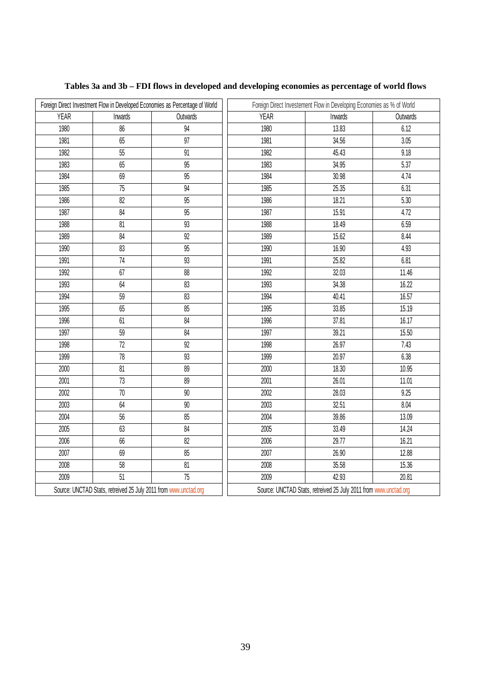|             |                                                                  | Foreign Direct Investment Flow in Developed Economies as Percentage of World | Foreign Direct Investement Flow in Developing Economies as % of World |                                                                  |          |  |  |
|-------------|------------------------------------------------------------------|------------------------------------------------------------------------------|-----------------------------------------------------------------------|------------------------------------------------------------------|----------|--|--|
| <b>YEAR</b> | Inwards                                                          | Outwards                                                                     | <b>YEAR</b>                                                           | Inwards                                                          | Outwards |  |  |
| 1980        | 86                                                               | 94                                                                           | 1980                                                                  | 13.83                                                            | 6.12     |  |  |
| 1981        | 65                                                               | 97                                                                           | 1981                                                                  | 34.56                                                            | 3.05     |  |  |
| 1982        | 55                                                               | 91                                                                           | 1982                                                                  | 45.43                                                            | 9.18     |  |  |
| 1983        | 65                                                               | 95                                                                           | 1983                                                                  | 34.95                                                            | 5.37     |  |  |
| 1984        | 69                                                               | 95                                                                           | 1984                                                                  | 30.98                                                            | 4.74     |  |  |
| 1985        | $\overline{75}$                                                  | 94                                                                           | 1985                                                                  | 25.35                                                            | 6.31     |  |  |
| 1986        | 82                                                               | 95                                                                           | 1986                                                                  | 18.21                                                            | 5.30     |  |  |
| 1987        | 84                                                               | 95                                                                           | 1987                                                                  | 15.91                                                            | 4.72     |  |  |
| 1988        | 81                                                               | 93                                                                           | 1988                                                                  | 18.49                                                            | 6.59     |  |  |
| 1989        | 84                                                               | 92                                                                           | 1989                                                                  | 15.62                                                            | 8.44     |  |  |
| 1990        | 83                                                               | $\overline{95}$                                                              | 1990                                                                  | 16.90                                                            | 4.93     |  |  |
| 1991        | $\overline{74}$                                                  | 93                                                                           | 1991                                                                  | 25.82                                                            | 6.81     |  |  |
| 1992        | 67                                                               | 88                                                                           | 1992                                                                  | 32.03                                                            | 11.46    |  |  |
| 1993        | 64                                                               | 83                                                                           | 1993                                                                  | 34.38                                                            | 16.22    |  |  |
| 1994        | 59                                                               | 83                                                                           | 1994                                                                  | 40.41                                                            | 16.57    |  |  |
| 1995        | 65                                                               | 85                                                                           | 1995                                                                  | 33.85                                                            | 15.19    |  |  |
| 1996        | 61                                                               | 84                                                                           | 1996                                                                  | 37.81                                                            | 16.17    |  |  |
| 1997        | 59                                                               | 84                                                                           | 1997                                                                  | 39.21                                                            | 15.50    |  |  |
| 1998        | 72                                                               | 92                                                                           | 1998                                                                  | 26.97                                                            | 7.43     |  |  |
| 1999        | $78\,$                                                           | 93                                                                           | 1999                                                                  | 20.97                                                            | 6.38     |  |  |
| 2000        | $\overline{81}$                                                  | 89                                                                           | 2000                                                                  | 18.30                                                            | 10.95    |  |  |
| 2001        | 73                                                               | 89                                                                           | 2001                                                                  | 26.01                                                            | 11.01    |  |  |
| 2002        | $70\,$                                                           | $90\,$                                                                       | 2002                                                                  | 28.03                                                            | 9.25     |  |  |
| 2003        | 64                                                               | 90                                                                           | 2003                                                                  | 32.51                                                            | 8.04     |  |  |
| 2004        | 56                                                               | 85                                                                           | 2004                                                                  | 39.86                                                            | 13.09    |  |  |
| 2005        | 63                                                               | 84                                                                           | 2005                                                                  | 33.49                                                            | 14.24    |  |  |
| 2006        | 66                                                               | 82                                                                           | 2006                                                                  | 29.77                                                            | 16.21    |  |  |
| 2007        | 69                                                               | 85                                                                           | 2007                                                                  | 26.90                                                            | 12.88    |  |  |
| 2008        | 58                                                               | 81                                                                           | 2008                                                                  | 35.58                                                            | 15.36    |  |  |
| 2009        | $\overline{51}$                                                  | $\overline{75}$                                                              | 2009                                                                  | 42.93                                                            | 20.81    |  |  |
|             | Source: UNCTAD Stats, retreived 25 July 2011 from www.unctad.org |                                                                              |                                                                       | Source: UNCTAD Stats, retreived 25 July 2011 from www.unctad.org |          |  |  |

## **Tables 3a and 3b – FDI flows in developed and developing economies as percentage of world flows**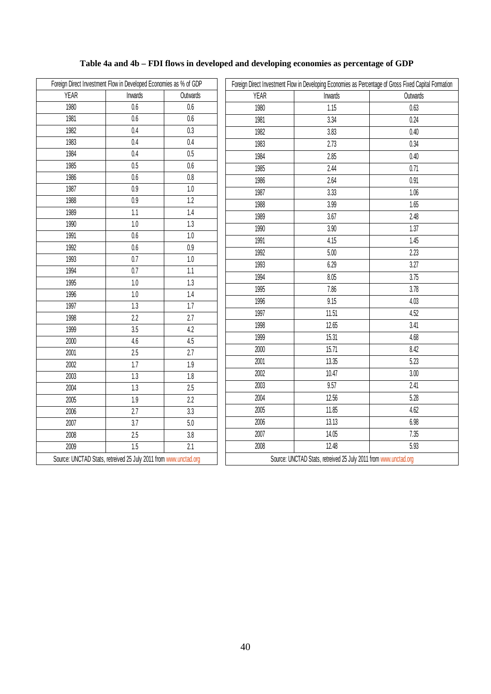## **Table 4a and 4b – FDI flows in developed and developing economies as percentage of GDP**

|             | Foreign Direct Investment Flow in Developed Economies as % of GDP |                  |             | Foreign Direct Investment Flow in Developing Economies as Percentage of Gross Fixed Capital Formation |          |  |  |  |
|-------------|-------------------------------------------------------------------|------------------|-------------|-------------------------------------------------------------------------------------------------------|----------|--|--|--|
| <b>YEAR</b> | Inwards                                                           | Outwards         | <b>YEAR</b> | Inwards                                                                                               | Outwards |  |  |  |
| 1980        | $0.6\,$                                                           | 0.6              | 1980        | 1.15                                                                                                  | 0.63     |  |  |  |
| 1981        | 0.6                                                               | 0.6              | 1981        | 3.34                                                                                                  | 0.24     |  |  |  |
| 1982        | $\overline{0.4}$                                                  | 0.3              | 1982        | 3.83                                                                                                  | 0.40     |  |  |  |
| 1983        | 0.4                                                               | $0.4\,$          | 1983        | 2.73                                                                                                  | 0.34     |  |  |  |
| 1984        | 0.4                                                               | 0.5              | 1984        | 2.85                                                                                                  | 0.40     |  |  |  |
| 1985        | 0.5                                                               | 0.6              | 1985        | 2.44                                                                                                  | 0.71     |  |  |  |
| 1986        | $0.6\,$                                                           | $0.8\,$          | 1986        | 2.64                                                                                                  | 0.91     |  |  |  |
| 1987        | 0.9                                                               | $1.0\,$          | 1987        | 3.33                                                                                                  | 1.06     |  |  |  |
| 1988        | 0.9                                                               | 1.2              | 1988        | 3.99                                                                                                  | 1.65     |  |  |  |
| 1989        | 1.1                                                               | 1.4              | 1989        | 3.67                                                                                                  | 2.48     |  |  |  |
| 1990        | 1.0                                                               | 1.3              | 1990        | 3.90                                                                                                  | 1.37     |  |  |  |
| 1991        | $\overline{0.6}$                                                  | 1.0              | 1991        | 4.15                                                                                                  | 1.45     |  |  |  |
| 1992        | 0.6                                                               | 0.9              | 1992        | $5.00$                                                                                                | 2.23     |  |  |  |
| 1993        | 0.7                                                               | $1.0\,$          | 1993        | 6.29                                                                                                  | 3.27     |  |  |  |
| 1994        | 0.7                                                               | 1.1              | 1994        | 8.05                                                                                                  | 3.75     |  |  |  |
| 1995        | 1.0                                                               | 1.3              | 1995        | 7.86                                                                                                  | 3.78     |  |  |  |
| 1996        | $1.0\,$                                                           | 1.4              | 1996        | 9.15                                                                                                  | $4.03$   |  |  |  |
| 1997        | 1.3                                                               | 1.7              | 1997        | 11.51                                                                                                 | 4.52     |  |  |  |
| 1998        | 2.2                                                               | 2.7              | 1998        | 12.65                                                                                                 | 3.41     |  |  |  |
| 1999        | 3.5                                                               | 4.2              | 1999        | 15.31                                                                                                 | 4.68     |  |  |  |
| 2000        | 4.6                                                               | 4.5              | 2000        | 15.71                                                                                                 | 8.42     |  |  |  |
| 2001        | $\overline{2.5}$                                                  | $\overline{2.7}$ | 2001        |                                                                                                       | 5.23     |  |  |  |
| 2002        | 1.7                                                               | 1.9              |             | 13.35                                                                                                 |          |  |  |  |
| 2003        | $\overline{1.3}$                                                  | 1.8              | 2002        | 10.47                                                                                                 | 3.00     |  |  |  |
| 2004        | 1.3                                                               | 2.5              | 2003        | 9.57                                                                                                  | 2.41     |  |  |  |
| 2005        | 1.9                                                               | 2.2              | 2004        | 12.56                                                                                                 | 5.28     |  |  |  |
| 2006        | 2.7                                                               | 3.3              | 2005        | 11.85                                                                                                 | 4.62     |  |  |  |
| 2007        | 3.7                                                               | 5.0              | 2006        | 13.13                                                                                                 | 6.98     |  |  |  |
| 2008        | 2.5                                                               | $3.8\,$          | 2007        | 14.05                                                                                                 | 7.35     |  |  |  |
| 2009        | 1.5                                                               | 2.1              | 2008        | 12.48                                                                                                 | 5.93     |  |  |  |
|             | Source: UNCTAD Stats, retreived 25 July 2011 from www.unctad.org  |                  |             | Source: UNCTAD Stats, retreived 25 July 2011 from www.unctad.org                                      |          |  |  |  |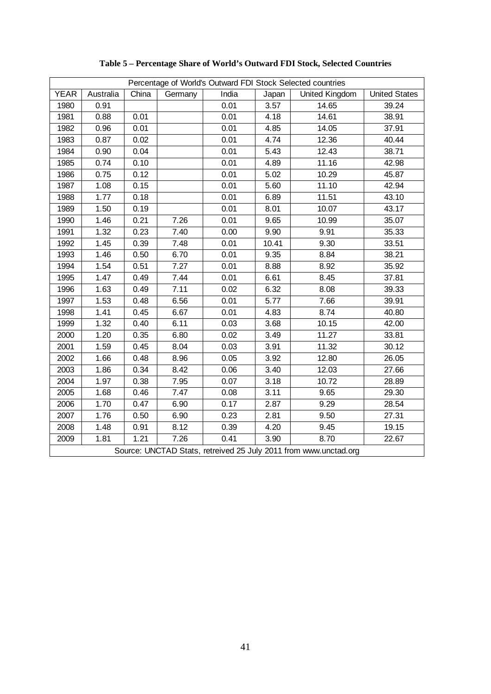|             | Percentage of World's Outward FDI Stock Selected countries |       |         |       |       |                                                                  |                      |  |  |  |  |
|-------------|------------------------------------------------------------|-------|---------|-------|-------|------------------------------------------------------------------|----------------------|--|--|--|--|
| <b>YEAR</b> | Australia                                                  | China | Germany | India | Japan | United Kingdom                                                   | <b>United States</b> |  |  |  |  |
| 1980        | 0.91                                                       |       |         | 0.01  | 3.57  | 14.65                                                            | 39.24                |  |  |  |  |
| 1981        | 0.88                                                       | 0.01  |         | 0.01  | 4.18  | 14.61                                                            | 38.91                |  |  |  |  |
| 1982        | 0.96                                                       | 0.01  |         | 0.01  | 4.85  | 14.05                                                            | 37.91                |  |  |  |  |
| 1983        | 0.87                                                       | 0.02  |         | 0.01  | 4.74  | 12.36                                                            | 40.44                |  |  |  |  |
| 1984        | 0.90                                                       | 0.04  |         | 0.01  | 5.43  | 12.43                                                            | 38.71                |  |  |  |  |
| 1985        | 0.74                                                       | 0.10  |         | 0.01  | 4.89  | 11.16                                                            | 42.98                |  |  |  |  |
| 1986        | 0.75                                                       | 0.12  |         | 0.01  | 5.02  | 10.29                                                            | 45.87                |  |  |  |  |
| 1987        | 1.08                                                       | 0.15  |         | 0.01  | 5.60  | 11.10                                                            | 42.94                |  |  |  |  |
| 1988        | 1.77                                                       | 0.18  |         | 0.01  | 6.89  | 11.51                                                            | 43.10                |  |  |  |  |
| 1989        | 1.50                                                       | 0.19  |         | 0.01  | 8.01  | 10.07                                                            | 43.17                |  |  |  |  |
| 1990        | 1.46                                                       | 0.21  | 7.26    | 0.01  | 9.65  | 10.99                                                            | 35.07                |  |  |  |  |
| 1991        | 1.32                                                       | 0.23  | 7.40    | 0.00  | 9.90  | 9.91                                                             | 35.33                |  |  |  |  |
| 1992        | 1.45                                                       | 0.39  | 7.48    | 0.01  | 10.41 | 9.30                                                             | 33.51                |  |  |  |  |
| 1993        | 1.46                                                       | 0.50  | 6.70    | 0.01  | 9.35  | 8.84                                                             | 38.21                |  |  |  |  |
| 1994        | 1.54                                                       | 0.51  | 7.27    | 0.01  | 8.88  | 8.92                                                             | 35.92                |  |  |  |  |
| 1995        | 1.47                                                       | 0.49  | 7.44    | 0.01  | 6.61  | 8.45                                                             | 37.81                |  |  |  |  |
| 1996        | 1.63                                                       | 0.49  | 7.11    | 0.02  | 6.32  | 8.08                                                             | 39.33                |  |  |  |  |
| 1997        | 1.53                                                       | 0.48  | 6.56    | 0.01  | 5.77  | 7.66                                                             | 39.91                |  |  |  |  |
| 1998        | 1.41                                                       | 0.45  | 6.67    | 0.01  | 4.83  | 8.74                                                             | 40.80                |  |  |  |  |
| 1999        | 1.32                                                       | 0.40  | 6.11    | 0.03  | 3.68  | 10.15                                                            | 42.00                |  |  |  |  |
| 2000        | 1.20                                                       | 0.35  | 6.80    | 0.02  | 3.49  | 11.27                                                            | 33.81                |  |  |  |  |
| 2001        | 1.59                                                       | 0.45  | 8.04    | 0.03  | 3.91  | 11.32                                                            | 30.12                |  |  |  |  |
| 2002        | 1.66                                                       | 0.48  | 8.96    | 0.05  | 3.92  | 12.80                                                            | 26.05                |  |  |  |  |
| 2003        | 1.86                                                       | 0.34  | 8.42    | 0.06  | 3.40  | 12.03                                                            | 27.66                |  |  |  |  |
| 2004        | 1.97                                                       | 0.38  | 7.95    | 0.07  | 3.18  | 10.72                                                            | 28.89                |  |  |  |  |
| 2005        | 1.68                                                       | 0.46  | 7.47    | 0.08  | 3.11  | 9.65                                                             | 29.30                |  |  |  |  |
| 2006        | 1.70                                                       | 0.47  | 6.90    | 0.17  | 2.87  | 9.29                                                             | 28.54                |  |  |  |  |
| 2007        | 1.76                                                       | 0.50  | 6.90    | 0.23  | 2.81  | 9.50                                                             | 27.31                |  |  |  |  |
| 2008        | 1.48                                                       | 0.91  | 8.12    | 0.39  | 4.20  | 9.45                                                             | 19.15                |  |  |  |  |
| 2009        | 1.81                                                       | 1.21  | 7.26    | 0.41  | 3.90  | 8.70                                                             | 22.67                |  |  |  |  |
|             |                                                            |       |         |       |       | Source: UNCTAD Stats, retreived 25 July 2011 from www.unctad.org |                      |  |  |  |  |

**Table 5 – Percentage Share of World's Outward FDI Stock, Selected Countries**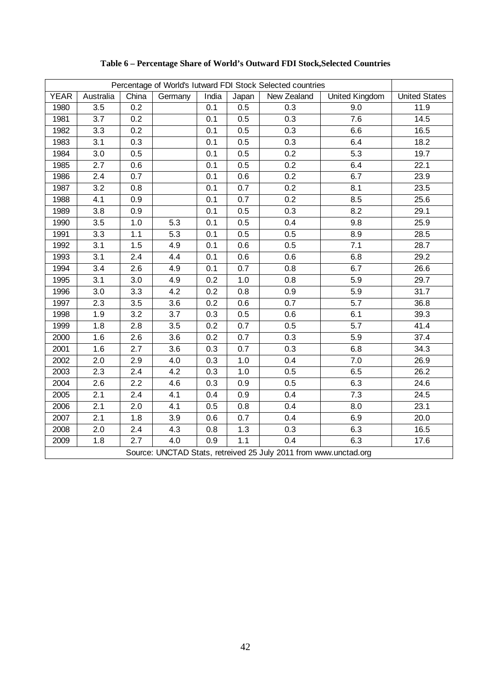| Percentage of World's lutward FDI Stock Selected countries |           |       |         |       |       |                                                                  |                |                      |  |
|------------------------------------------------------------|-----------|-------|---------|-------|-------|------------------------------------------------------------------|----------------|----------------------|--|
| <b>YEAR</b>                                                | Australia | China | Germany | India | Japan | New Zealand                                                      | United Kingdom | <b>United States</b> |  |
| 1980                                                       | 3.5       | 0.2   |         | 0.1   | 0.5   | 0.3                                                              | 9.0            | 11.9                 |  |
| 1981                                                       | 3.7       | 0.2   |         | 0.1   | 0.5   | 0.3                                                              | 7.6            | 14.5                 |  |
| 1982                                                       | 3.3       | 0.2   |         | 0.1   | 0.5   | 0.3                                                              | 6.6            | 16.5                 |  |
| 1983                                                       | 3.1       | 0.3   |         | 0.1   | 0.5   | 0.3                                                              | 6.4            | 18.2                 |  |
| 1984                                                       | 3.0       | 0.5   |         | 0.1   | 0.5   | 0.2                                                              | 5.3            | 19.7                 |  |
| 1985                                                       | 2.7       | 0.6   |         | 0.1   | 0.5   | 0.2                                                              | 6.4            | 22.1                 |  |
| 1986                                                       | 2.4       | 0.7   |         | 0.1   | 0.6   | 0.2                                                              | 6.7            | 23.9                 |  |
| 1987                                                       | 3.2       | 0.8   |         | 0.1   | 0.7   | 0.2                                                              | 8.1            | 23.5                 |  |
| 1988                                                       | 4.1       | 0.9   |         | 0.1   | 0.7   | 0.2                                                              | 8.5            | 25.6                 |  |
| 1989                                                       | 3.8       | 0.9   |         | 0.1   | 0.5   | 0.3                                                              | 8.2            | 29.1                 |  |
| 1990                                                       | 3.5       | 1.0   | 5.3     | 0.1   | 0.5   | 0.4                                                              | 9.8            | 25.9                 |  |
| 1991                                                       | 3.3       | 1.1   | 5.3     | 0.1   | 0.5   | 0.5                                                              | 8.9            | 28.5                 |  |
| 1992                                                       | 3.1       | 1.5   | 4.9     | 0.1   | 0.6   | 0.5                                                              | 7.1            | 28.7                 |  |
| 1993                                                       | 3.1       | 2.4   | 4.4     | 0.1   | 0.6   | 0.6                                                              | 6.8            | 29.2                 |  |
| 1994                                                       | 3.4       | 2.6   | 4.9     | 0.1   | 0.7   | 0.8                                                              | 6.7            | 26.6                 |  |
| 1995                                                       | 3.1       | 3.0   | 4.9     | 0.2   | 1.0   | 0.8                                                              | 5.9            | 29.7                 |  |
| 1996                                                       | 3.0       | 3.3   | 4.2     | 0.2   | 0.8   | 0.9                                                              | 5.9            | 31.7                 |  |
| 1997                                                       | 2.3       | 3.5   | 3.6     | 0.2   | 0.6   | 0.7                                                              | 5.7            | 36.8                 |  |
| 1998                                                       | 1.9       | 3.2   | 3.7     | 0.3   | 0.5   | 0.6                                                              | 6.1            | 39.3                 |  |
| 1999                                                       | 1.8       | 2.8   | 3.5     | 0.2   | 0.7   | 0.5                                                              | 5.7            | 41.4                 |  |
| 2000                                                       | 1.6       | 2.6   | 3.6     | 0.2   | 0.7   | 0.3                                                              | 5.9            | 37.4                 |  |
| 2001                                                       | 1.6       | 2.7   | 3.6     | 0.3   | 0.7   | 0.3                                                              | 6.8            | 34.3                 |  |
| 2002                                                       | 2.0       | 2.9   | 4.0     | 0.3   | 1.0   | 0.4                                                              | 7.0            | 26.9                 |  |
| 2003                                                       | 2.3       | 2.4   | 4.2     | 0.3   | 1.0   | 0.5                                                              | 6.5            | 26.2                 |  |
| 2004                                                       | 2.6       | 2.2   | 4.6     | 0.3   | 0.9   | 0.5                                                              | 6.3            | 24.6                 |  |
| 2005                                                       | 2.1       | 2.4   | 4.1     | 0.4   | 0.9   | 0.4                                                              | 7.3            | 24.5                 |  |
| 2006                                                       | 2.1       | 2.0   | 4.1     | 0.5   | 0.8   | 0.4                                                              | 8.0            | 23.1                 |  |
| 2007                                                       | 2.1       | 1.8   | 3.9     | 0.6   | 0.7   | 0.4                                                              | 6.9            | 20.0                 |  |
| 2008                                                       | 2.0       | 2.4   | 4.3     | 0.8   | 1.3   | 0.3                                                              | 6.3            | 16.5                 |  |
| 2009                                                       | 1.8       | 2.7   | 4.0     | 0.9   | 1.1   | 0.4                                                              | 6.3            | 17.6                 |  |
|                                                            |           |       |         |       |       | Source: UNCTAD Stats, retreived 25 July 2011 from www.unctad.org |                |                      |  |

**Table 6 – Percentage Share of World's Outward FDI Stock,Selected Countries**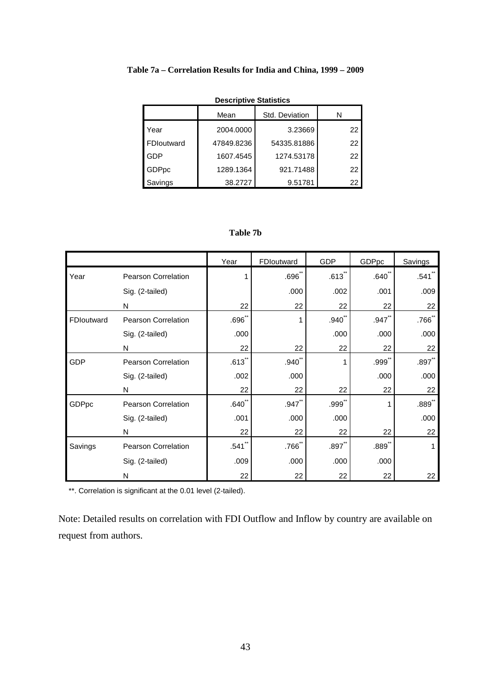|         | <b>Descriptive Statistics</b> |            |                |    |  |  |  |  |  |  |  |
|---------|-------------------------------|------------|----------------|----|--|--|--|--|--|--|--|
|         |                               | Mean       | Std. Deviation | N  |  |  |  |  |  |  |  |
| Year    |                               | 2004.0000  | 3.23669        | 22 |  |  |  |  |  |  |  |
|         | FDIoutward                    | 47849.8236 | 54335.81886    | 22 |  |  |  |  |  |  |  |
| GDP     |                               | 1607.4545  | 1274.53178     | 22 |  |  |  |  |  |  |  |
| GDPpc   |                               | 1289.1364  | 921.71488      | 22 |  |  |  |  |  |  |  |
| Savings |                               | 38.2727    | 9.51781        | 22 |  |  |  |  |  |  |  |

#### **Table 7a – Correlation Results for India and China, 1999 – 2009**

### **Table 7b**

|            |                            | Year                 | FDIoutward   | <b>GDP</b>           | GDPpc               | Savings             |
|------------|----------------------------|----------------------|--------------|----------------------|---------------------|---------------------|
| Year       | Pearson Correlation        | 1                    | $.696^\circ$ | $.613$ <sup>**</sup> | $.640^{n}$          | .541                |
|            | Sig. (2-tailed)            |                      | .000         | .002                 | .001                | .009                |
|            | N                          | 22                   | 22           | 22                   | 22                  | 22                  |
| FDIoutward | <b>Pearson Correlation</b> | $.696$ *             | 1            | $.940^{-}$           | $.947$ <sup>*</sup> | .766 <sup>°</sup>   |
|            | Sig. (2-tailed)            | .000                 |              | .000                 | .000                | .000                |
|            | N                          | 22                   | 22           | 22                   | 22                  | 22                  |
| <b>GDP</b> | <b>Pearson Correlation</b> | $.613$ <sup>**</sup> | .940         |                      | .999                | .897                |
|            | Sig. (2-tailed)            | .002                 | .000         |                      | .000                | .000                |
|            | N                          | 22                   | 22           | 22                   | 22                  | 22                  |
| GDPpc      | <b>Pearson Correlation</b> | $.640^{**}$          | $.947$ **    | $.999$ <sup>**</sup> |                     | $.889$ <sup>*</sup> |
|            | Sig. (2-tailed)            | .001                 | .000         | .000                 |                     | .000                |
|            | N                          | 22                   | 22           | 22                   | 22                  | 22                  |
| Savings    | <b>Pearson Correlation</b> | $.541$ <sup>**</sup> | $.766$ **    | $.897$ **            | $.889$ <sup>*</sup> | 1                   |
|            | Sig. (2-tailed)            | .009                 | .000         | .000                 | .000                |                     |
|            | N                          | 22                   | 22           | 22                   | 22                  | 22                  |

\*\*. Correlation is significant at the 0.01 level (2-tailed).

Note: Detailed results on correlation with FDI Outflow and Inflow by country are available on request from authors.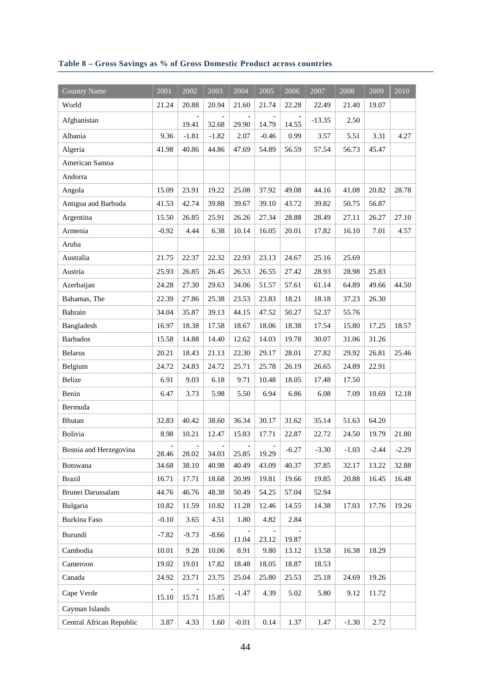## **Table 8 – Gross Savings as % of Gross Domestic Product across countries**

| <b>Country Name</b>      | 2001    | 2002    | 2003    | 2004    | 2005    | 2006    | 2007     | 2008    | 2009    | 2010    |
|--------------------------|---------|---------|---------|---------|---------|---------|----------|---------|---------|---------|
| World                    | 21.24   | 20.88   | 20.94   | 21.60   | 21.74   | 22.28   | 22.49    | 21.40   | 19.07   |         |
| Afghanistan              |         | 19.41   | 32.68   | 29.90   | 14.79   | 14.55   | $-13.35$ | 2.50    |         |         |
| Albania                  | 9.36    | $-1.81$ | $-1.82$ | 2.07    | $-0.46$ | 0.99    | 3.57     | 5.51    | 3.31    | 4.27    |
| Algeria                  | 41.98   | 40.86   | 44.86   | 47.69   | 54.89   | 56.59   | 57.54    | 56.73   | 45.47   |         |
| American Samoa           |         |         |         |         |         |         |          |         |         |         |
| Andorra                  |         |         |         |         |         |         |          |         |         |         |
| Angola                   | 15.09   | 23.91   | 19.22   | 25.08   | 37.92   | 49.08   | 44.16    | 41.08   | 20.82   | 28.78   |
| Antigua and Barbuda      | 41.53   | 42.74   | 39.88   | 39.67   | 39.10   | 43.72   | 39.82    | 50.75   | 56.87   |         |
| Argentina                | 15.50   | 26.85   | 25.91   | 26.26   | 27.34   | 28.88   | 28.49    | 27.11   | 26.27   | 27.10   |
| Armenia                  | $-0.92$ | 4.44    | 6.38    | 10.14   | 16.05   | 20.01   | 17.82    | 16.10   | 7.01    | 4.57    |
| Aruba                    |         |         |         |         |         |         |          |         |         |         |
| Australia                | 21.75   | 22.37   | 22.32   | 22.93   | 23.13   | 24.67   | 25.16    | 25.69   |         |         |
| Austria                  | 25.93   | 26.85   | 26.45   | 26.53   | 26.55   | 27.42   | 28.93    | 28.98   | 25.83   |         |
| Azerbaijan               | 24.28   | 27.30   | 29.63   | 34.06   | 51.57   | 57.61   | 61.14    | 64.89   | 49.66   | 44.50   |
| Bahamas, The             | 22.39   | 27.86   | 25.38   | 23.53   | 23.83   | 18.21   | 18.18    | 37.23   | 26.30   |         |
| Bahrain                  | 34.04   | 35.87   | 39.13   | 44.15   | 47.52   | 50.27   | 52.37    | 55.76   |         |         |
| Bangladesh               | 16.97   | 18.38   | 17.58   | 18.67   | 18.06   | 18.38   | 17.54    | 15.80   | 17.25   | 18.57   |
| <b>Barbados</b>          | 15.58   | 14.88   | 14.40   | 12.62   | 14.03   | 19.78   | 30.07    | 31.06   | 31.26   |         |
| <b>Belarus</b>           | 20.21   | 18.43   | 21.13   | 22.30   | 29.17   | 28.01   | 27.82    | 29.92   | 26.81   | 25.46   |
| Belgium                  | 24.72   | 24.83   | 24.72   | 25.71   | 25.78   | 26.19   | 26.65    | 24.89   | 22.91   |         |
| Belize                   | 6.91    | 9.03    | 6.18    | 9.71    | 10.48   | 18.05   | 17.48    | 17.50   |         |         |
| Benin                    | 6.47    | 3.73    | 5.98    | 5.50    | 6.94    | 6.86    | 6.08     | 7.09    | 10.69   | 12.18   |
| Bermuda                  |         |         |         |         |         |         |          |         |         |         |
| Bhutan                   | 32.83   | 40.42   | 38.60   | 36.34   | 30.17   | 31.62   | 35.14    | 51.63   | 64.20   |         |
| Bolivia                  | 8.98    | 10.21   | 12.47   | 15.83   | 17.71   | 22.87   | 22.72    | 24.50   | 19.79   | 21.80   |
| Bosnia and Herzegovina   | 28.46   | 28.02   | 34.03   | 25.85   | 19.29   | $-6.27$ | $-3.30$  | $-1.03$ | $-2.44$ | $-2.29$ |
| <b>Botswana</b>          | 34.68   | 38.10   | 40.98   | 40.49   | 43.09   | 40.37   | 37.85    | 32.17   | 13.22   | 32.88   |
| <b>Brazil</b>            | 16.71   | 17.71   | 18.68   | 20.99   | 19.81   | 19.66   | 19.85    | 20.88   | 16.45   | 16.48   |
| Brunei Darussalam        | 44.76   | 46.76   | 48.38   | 50.49   | 54.25   | 57.04   | 52.94    |         |         |         |
| Bulgaria                 | 10.82   | 11.59   | 10.82   | 11.28   | 12.46   | 14.55   | 14.38    | 17.03   | 17.76   | 19.26   |
| <b>Burkina Faso</b>      | $-0.10$ | 3.65    | 4.51    | 1.80    | 4.82    | 2.84    |          |         |         |         |
| Burundi                  | $-7.82$ | $-9.73$ | $-8.66$ | 11.04   | 23.12   | 19.87   |          |         |         |         |
| Cambodia                 | 10.01   | 9.28    | 10.06   | 8.91    | 9.80    | 13.12   | 13.58    | 16.38   | 18.29   |         |
| Cameroon                 | 19.02   | 19.01   | 17.82   | 18.48   | 18.05   | 18.87   | 18.53    |         |         |         |
| Canada                   | 24.92   | 23.71   | 23.75   | 25.04   | 25.80   | 25.53   | 25.18    | 24.69   | 19.26   |         |
| Cape Verde               | 15.10   | 15.71   | 15.85   | $-1.47$ | 4.39    | 5.02    | 5.80     | 9.12    | 11.72   |         |
| Cayman Islands           |         |         |         |         |         |         |          |         |         |         |
| Central African Republic | 3.87    | 4.33    | 1.60    | $-0.01$ | 0.14    | 1.37    | 1.47     | $-1.30$ | 2.72    |         |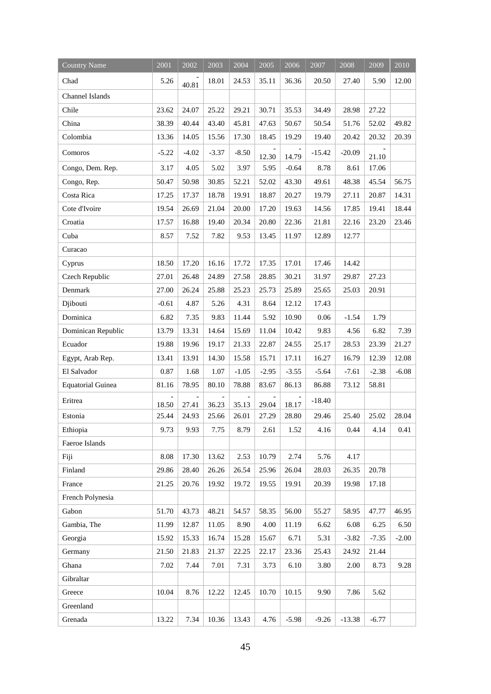| <b>Country Name</b>      | 2001                              | 2002                              | 2003                              | 2004    | 2005    | 2006    | 2007     | 2008     | 2009    | 2010    |
|--------------------------|-----------------------------------|-----------------------------------|-----------------------------------|---------|---------|---------|----------|----------|---------|---------|
| Chad                     | 5.26                              | 40.81                             | 18.01                             | 24.53   | 35.11   | 36.36   | 20.50    | 27.40    | 5.90    | 12.00   |
| Channel Islands          |                                   |                                   |                                   |         |         |         |          |          |         |         |
| Chile                    | 23.62                             | 24.07                             | 25.22                             | 29.21   | 30.71   | 35.53   | 34.49    | 28.98    | 27.22   |         |
| China                    | 38.39                             | 40.44                             | 43.40                             | 45.81   | 47.63   | 50.67   | 50.54    | 51.76    | 52.02   | 49.82   |
| Colombia                 | 13.36                             | 14.05                             | 15.56                             | 17.30   | 18.45   | 19.29   | 19.40    | 20.42    | 20.32   | 20.39   |
| Comoros                  | $-5.22$                           | $-4.02$                           | $-3.37$                           | $-8.50$ | 12.30   | 14.79   | $-15.42$ | $-20.09$ | 21.10   |         |
| Congo, Dem. Rep.         | 3.17                              | 4.05                              | 5.02                              | 3.97    | 5.95    | $-0.64$ | 8.78     | 8.61     | 17.06   |         |
| Congo, Rep.              | 50.47                             | 50.98                             | 30.85                             | 52.21   | 52.02   | 43.30   | 49.61    | 48.38    | 45.54   | 56.75   |
| Costa Rica               | 17.25                             | 17.37                             | 18.78                             | 19.91   | 18.87   | 20.27   | 19.79    | 27.11    | 20.87   | 14.31   |
| Cote d'Ivoire            | 19.54                             | 26.69                             | 21.04                             | 20.00   | 17.20   | 19.63   | 14.56    | 17.85    | 19.41   | 18.44   |
| Croatia                  | 17.57                             | 16.88                             | 19.40                             | 20.34   | 20.80   | 22.36   | 21.81    | 22.16    | 23.20   | 23.46   |
| Cuba                     | 8.57                              | 7.52                              | 7.82                              | 9.53    | 13.45   | 11.97   | 12.89    | 12.77    |         |         |
| Curacao                  |                                   |                                   |                                   |         |         |         |          |          |         |         |
| Cyprus                   | 18.50                             | 17.20                             | 16.16                             | 17.72   | 17.35   | 17.01   | 17.46    | 14.42    |         |         |
| Czech Republic           | 27.01                             | 26.48                             | 24.89                             | 27.58   | 28.85   | 30.21   | 31.97    | 29.87    | 27.23   |         |
| Denmark                  | 27.00                             | 26.24                             | 25.88                             | 25.23   | 25.73   | 25.89   | 25.65    | 25.03    | 20.91   |         |
| Djibouti                 | $-0.61$                           | 4.87                              | 5.26                              | 4.31    | 8.64    | 12.12   | 17.43    |          |         |         |
| Dominica                 | 6.82                              | 7.35                              | 9.83                              | 11.44   | 5.92    | 10.90   | 0.06     | $-1.54$  | 1.79    |         |
| Dominican Republic       | 13.79                             | 13.31                             | 14.64                             | 15.69   | 11.04   | 10.42   | 9.83     | 4.56     | 6.82    | 7.39    |
| Ecuador                  | 19.88                             | 19.96                             | 19.17                             | 21.33   | 22.87   | 24.55   | 25.17    | 28.53    | 23.39   | 21.27   |
| Egypt, Arab Rep.         | 13.41                             | 13.91                             | 14.30                             | 15.58   | 15.71   | 17.11   | 16.27    | 16.79    | 12.39   | 12.08   |
| El Salvador              | 0.87                              | 1.68                              | 1.07                              | $-1.05$ | $-2.95$ | $-3.55$ | $-5.64$  | $-7.61$  | $-2.38$ | $-6.08$ |
| <b>Equatorial Guinea</b> | 81.16                             | 78.95                             | 80.10                             | 78.88   | 83.67   | 86.13   | 86.88    | 73.12    | 58.81   |         |
| Eritrea                  | $\overline{\phantom{0}}$<br>18.50 | $\overline{\phantom{a}}$<br>27.41 | $\overline{\phantom{a}}$<br>36.23 | 35.13   | 29.04   | 18.17   | $-18.40$ |          |         |         |
| Estonia                  | 25.44                             | 24.93                             | 25.66                             | 26.01   | 27.29   | 28.80   | 29.46    | 25.40    | 25.02   | 28.04   |
| Ethiopia                 | 9.73                              | 9.93                              | 7.75                              | 8.79    | 2.61    | 1.52    | 4.16     | 0.44     | 4.14    | 0.41    |
| Faeroe Islands           |                                   |                                   |                                   |         |         |         |          |          |         |         |
| Fiji                     | 8.08                              | 17.30                             | 13.62                             | 2.53    | 10.79   | 2.74    | 5.76     | 4.17     |         |         |
| Finland                  | 29.86                             | 28.40                             | 26.26                             | 26.54   | 25.96   | 26.04   | 28.03    | 26.35    | 20.78   |         |
| France                   | 21.25                             | 20.76                             | 19.92                             | 19.72   | 19.55   | 19.91   | 20.39    | 19.98    | 17.18   |         |
| French Polynesia         |                                   |                                   |                                   |         |         |         |          |          |         |         |
| Gabon                    | 51.70                             | 43.73                             | 48.21                             | 54.57   | 58.35   | 56.00   | 55.27    | 58.95    | 47.77   | 46.95   |
| Gambia, The              | 11.99                             | 12.87                             | 11.05                             | 8.90    | 4.00    | 11.19   | 6.62     | 6.08     | 6.25    | 6.50    |
| Georgia                  | 15.92                             | 15.33                             | 16.74                             | 15.28   | 15.67   | 6.71    | 5.31     | $-3.82$  | $-7.35$ | $-2.00$ |
| Germany                  | 21.50                             | 21.83                             | 21.37                             | 22.25   | 22.17   | 23.36   | 25.43    | 24.92    | 21.44   |         |
| Ghana                    | 7.02                              | 7.44                              | 7.01                              | 7.31    | 3.73    | 6.10    | 3.80     | 2.00     | 8.73    | 9.28    |
| Gibraltar                |                                   |                                   |                                   |         |         |         |          |          |         |         |
| Greece                   | 10.04                             | 8.76                              | 12.22                             | 12.45   | 10.70   | 10.15   | 9.90     | 7.86     | 5.62    |         |
| Greenland                |                                   |                                   |                                   |         |         |         |          |          |         |         |
| Grenada                  | 13.22                             | 7.34                              | 10.36                             | 13.43   | 4.76    | $-5.98$ | $-9.26$  | $-13.38$ | $-6.77$ |         |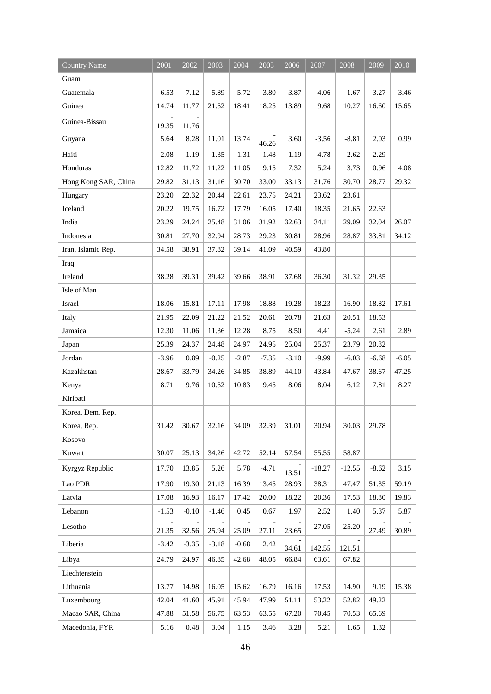| <b>Country Name</b>  | 2001              | 2002                              | 2003                         | 2004                    | 2005                   | 2006    | 2007     | 2008     | 2009    | 2010    |
|----------------------|-------------------|-----------------------------------|------------------------------|-------------------------|------------------------|---------|----------|----------|---------|---------|
| Guam                 |                   |                                   |                              |                         |                        |         |          |          |         |         |
| Guatemala            | 6.53              | 7.12                              | 5.89                         | 5.72                    | 3.80                   | 3.87    | 4.06     | 1.67     | 3.27    | 3.46    |
| Guinea               | 14.74             | 11.77                             | 21.52                        | 18.41                   | 18.25                  | 13.89   | 9.68     | 10.27    | 16.60   | 15.65   |
| Guinea-Bissau        | 19.35             | 11.76                             |                              |                         |                        |         |          |          |         |         |
| Guyana               | 5.64              | 8.28                              | 11.01                        | 13.74                   | 46.26                  | 3.60    | $-3.56$  | $-8.81$  | 2.03    | 0.99    |
| Haiti                | 2.08              | 1.19                              | $-1.35$                      | $-1.31$                 | $-1.48$                | $-1.19$ | 4.78     | $-2.62$  | $-2.29$ |         |
| Honduras             | 12.82             | 11.72                             | 11.22                        | 11.05                   | 9.15                   | 7.32    | 5.24     | 3.73     | 0.96    | 4.08    |
| Hong Kong SAR, China | 29.82             | 31.13                             | 31.16                        | 30.70                   | 33.00                  | 33.13   | 31.76    | 30.70    | 28.77   | 29.32   |
| Hungary              | 23.20             | 22.32                             | 20.44                        | 22.61                   | 23.75                  | 24.21   | 23.62    | 23.61    |         |         |
| Iceland              | 20.22             | 19.75                             | 16.72                        | 17.79                   | 16.05                  | 17.40   | 18.35    | 21.65    | 22.63   |         |
| India                | 23.29             | 24.24                             | 25.48                        | 31.06                   | 31.92                  | 32.63   | 34.11    | 29.09    | 32.04   | 26.07   |
| Indonesia            | 30.81             | 27.70                             | 32.94                        | 28.73                   | 29.23                  | 30.81   | 28.96    | 28.87    | 33.81   | 34.12   |
| Iran, Islamic Rep.   | 34.58             | 38.91                             | 37.82                        | 39.14                   | 41.09                  | 40.59   | 43.80    |          |         |         |
| Iraq                 |                   |                                   |                              |                         |                        |         |          |          |         |         |
| Ireland              | 38.28             | 39.31                             | 39.42                        | 39.66                   | 38.91                  | 37.68   | 36.30    | 31.32    | 29.35   |         |
| Isle of Man          |                   |                                   |                              |                         |                        |         |          |          |         |         |
| Israel               | 18.06             | 15.81                             | 17.11                        | 17.98                   | 18.88                  | 19.28   | 18.23    | 16.90    | 18.82   | 17.61   |
| Italy                | 21.95             | 22.09                             | 21.22                        | 21.52                   | 20.61                  | 20.78   | 21.63    | 20.51    | 18.53   |         |
| Jamaica              | 12.30             | 11.06                             | 11.36                        | 12.28                   | 8.75                   | 8.50    | 4.41     | $-5.24$  | 2.61    | 2.89    |
| Japan                | 25.39             | 24.37                             | 24.48                        | 24.97                   | 24.95                  | 25.04   | 25.37    | 23.79    | 20.82   |         |
| Jordan               | $-3.96$           | 0.89                              | $-0.25$                      | $-2.87$                 | $-7.35$                | $-3.10$ | $-9.99$  | $-6.03$  | $-6.68$ | $-6.05$ |
| Kazakhstan           | 28.67             | 33.79                             | 34.26                        | 34.85                   | 38.89                  | 44.10   | 43.84    | 47.67    | 38.67   | 47.25   |
| Kenya                | 8.71              | 9.76                              | 10.52                        | 10.83                   | 9.45                   | 8.06    | 8.04     | 6.12     | 7.81    | 8.27    |
| Kiribati             |                   |                                   |                              |                         |                        |         |          |          |         |         |
| Korea, Dem. Rep.     |                   |                                   |                              |                         |                        |         |          |          |         |         |
| Korea, Rep.          | 31.42             | 30.67                             | 32.16                        | 34.09                   | 32.39                  | 31.01   | 30.94    | 30.03    | 29.78   |         |
| Kosovo               |                   |                                   |                              |                         |                        |         |          |          |         |         |
| Kuwait               | 30.07             | 25.13                             | 34.26                        | 42.72                   | 52.14                  | 57.54   | 55.55    | 58.87    |         |         |
| Kyrgyz Republic      | 17.70             | 13.85                             | 5.26                         | 5.78                    | $-4.71$                | 13.51   | $-18.27$ | $-12.55$ | $-8.62$ | 3.15    |
| Lao PDR              | 17.90             | 19.30                             | 21.13                        | 16.39                   | 13.45                  | 28.93   | 38.31    | 47.47    | 51.35   | 59.19   |
| Latvia               | 17.08             | 16.93                             | 16.17                        | 17.42                   | 20.00                  | 18.22   | 20.36    | 17.53    | 18.80   | 19.83   |
| Lebanon              | $-1.53$           | $-0.10$                           | $-1.46$                      | 0.45                    | 0.67                   | 1.97    | 2.52     | 1.40     | 5.37    | 5.87    |
| Lesotho              | $\equiv$<br>21.35 | $\overline{\phantom{m}}$<br>32.56 | $\bar{\phantom{a}}$<br>25.94 | $\overline{a}$<br>25.09 | $\frac{1}{2}$<br>27.11 | 23.65   | $-27.05$ | $-25.20$ | 27.49   | 30.89   |
| Liberia              | $-3.42$           | $-3.35$                           | $-3.18$                      | $-0.68$                 | 2.42                   | 34.61   | 142.55   | 121.51   |         |         |
| Libya                | 24.79             | 24.97                             | 46.85                        | 42.68                   | 48.05                  | 66.84   | 63.61    | 67.82    |         |         |
| Liechtenstein        |                   |                                   |                              |                         |                        |         |          |          |         |         |
| Lithuania            | 13.77             | 14.98                             | 16.05                        | 15.62                   | 16.79                  | 16.16   | 17.53    | 14.90    | 9.19    | 15.38   |
| Luxembourg           | 42.04             | 41.60                             | 45.91                        | 45.94                   | 47.99                  | 51.11   | 53.22    | 52.82    | 49.22   |         |
| Macao SAR, China     | 47.88             | 51.58                             | 56.75                        | 63.53                   | 63.55                  | 67.20   | 70.45    | 70.53    | 65.69   |         |
| Macedonia, FYR       | 5.16              | 0.48                              | 3.04                         | 1.15                    | 3.46                   | 3.28    | 5.21     | 1.65     | 1.32    |         |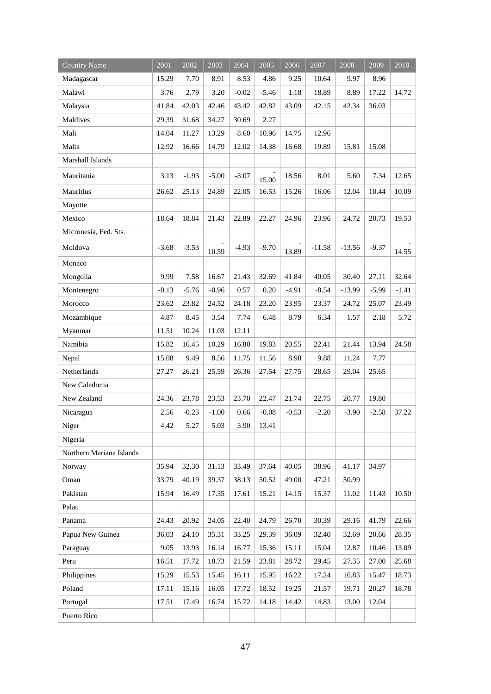| <b>Country Name</b>      | 2001    | 2002    | 2003    | 2004    | 2005    | 2006    | 2007     | 2008     | 2009    | 2010    |
|--------------------------|---------|---------|---------|---------|---------|---------|----------|----------|---------|---------|
| Madagascar               | 15.29   | 7.70    | 8.91    | 8.53    | 4.86    | 9.25    | 10.64    | 9.97     | 8.96    |         |
| Malawi                   | 3.76    | 2.79    | 3.20    | $-0.02$ | $-5.46$ | 1.18    | 18.89    | 8.89     | 17.22   | 14.72   |
| Malaysia                 | 41.84   | 42.03   | 42.46   | 43.42   | 42.82   | 43.09   | 42.15    | 42.34    | 36.03   |         |
| Maldives                 | 29.39   | 31.68   | 34.27   | 30.69   | 2.27    |         |          |          |         |         |
| Mali                     | 14.04   | 11.27   | 13.29   | 8.60    | 10.96   | 14.75   | 12.96    |          |         |         |
| Malta                    | 12.92   | 16.66   | 14.79   | 12.02   | 14.38   | 16.68   | 19.89    | 15.81    | 15.08   |         |
| Marshall Islands         |         |         |         |         |         |         |          |          |         |         |
| Mauritania               | 3.13    | $-1.93$ | $-5.00$ | $-3.07$ | 15.00   | 18.56   | 8.01     | 5.60     | 7.34    | 12.65   |
| Mauritius                | 26.62   | 25.13   | 24.89   | 22.05   | 16.53   | 15.26   | 16.06    | 12.04    | 10.44   | 10.09   |
| Mayotte                  |         |         |         |         |         |         |          |          |         |         |
| Mexico                   | 18.64   | 18.84   | 21.43   | 22.89   | 22.27   | 24.96   | 23.96    | 24.72    | 20.73   | 19.53   |
| Micronesia, Fed. Sts.    |         |         |         |         |         |         |          |          |         |         |
| Moldova                  | $-3.68$ | $-3.53$ | 10.59   | $-4.93$ | $-9.70$ | 13.89   | $-11.58$ | $-13.56$ | $-9.37$ | 14.55   |
| Monaco                   |         |         |         |         |         |         |          |          |         |         |
| Mongolia                 | 9.99    | 7.58    | 16.67   | 21.43   | 32.69   | 41.84   | 40.05    | 30.40    | 27.11   | 32.64   |
| Montenegro               | $-0.13$ | $-5.76$ | $-0.96$ | 0.57    | 0.20    | $-4.91$ | $-8.54$  | $-13.99$ | $-5.99$ | $-1.41$ |
| Morocco                  | 23.62   | 23.82   | 24.52   | 24.18   | 23.20   | 23.95   | 23.37    | 24.72    | 25.07   | 23.49   |
| Mozambique               | 4.87    | 8.45    | 3.54    | 7.74    | 6.48    | 8.79    | 6.34     | 1.57     | 2.18    | 5.72    |
| Myanmar                  | 11.51   | 10.24   | 11.03   | 12.11   |         |         |          |          |         |         |
| Namibia                  | 15.82   | 16.45   | 10.29   | 16.80   | 19.83   | 20.55   | 22.41    | 21.44    | 13.94   | 24.58   |
| Nepal                    | 15.08   | 9.49    | 8.56    | 11.75   | 11.56   | 8.98    | 9.88     | 11.24    | 7.77    |         |
| Netherlands              | 27.27   | 26.21   | 25.59   | 26.36   | 27.54   | 27.75   | 28.65    | 29.04    | 25.65   |         |
| New Caledonia            |         |         |         |         |         |         |          |          |         |         |
| New Zealand              | 24.36   | 23.78   | 23.53   | 23.70   | 22.47   | 21.74   | 22.75    | 20.77    | 19.80   |         |
| Nicaragua                | 2.56    | $-0.23$ | $-1.00$ | 0.66    | $-0.08$ | $-0.53$ | $-2.20$  | $-3.90$  | $-2.58$ | 37.22   |
| Niger                    | 4.42    | 5.27    | 5.03    | 3.90    | 13.41   |         |          |          |         |         |
| Nigeria                  |         |         |         |         |         |         |          |          |         |         |
| Northern Mariana Islands |         |         |         |         |         |         |          |          |         |         |
| Norway                   | 35.94   | 32.30   | 31.13   | 33.49   | 37.64   | 40.05   | 38.96    | 41.17    | 34.97   |         |
| Oman                     | 33.79   | 40.19   | 39.37   | 38.13   | 50.52   | 49.00   | 47.21    | 50.99    |         |         |
| Pakistan                 | 15.94   | 16.49   | 17.35   | 17.61   | 15.21   | 14.15   | 15.37    | 11.02    | 11.43   | 10.50   |
| Palau                    |         |         |         |         |         |         |          |          |         |         |
| Panama                   | 24.43   | 20.92   | 24.05   | 22.40   | 24.79   | 26.70   | 30.39    | 29.16    | 41.79   | 22.66   |
| Papua New Guinea         | 36.03   | 24.10   | 35.31   | 33.25   | 29.39   | 36.09   | 32.40    | 32.69    | 20.66   | 28.35   |
| Paraguay                 | 9.05    | 13.93   | 16.14   | 16.77   | 15.36   | 15.11   | 15.04    | 12.87    | 10.46   | 13.09   |
| Peru                     | 16.51   | 17.72   | 18.73   | 21.59   | 23.81   | 28.72   | 29.45    | 27.35    | 27.00   | 25.68   |
| Philippines              | 15.29   | 15.53   | 15.45   | 16.11   | 15.95   | 16.22   | 17.24    | 16.83    | 15.47   | 18.73   |
| Poland                   | 17.11   | 15.16   | 16.05   | 17.72   | 18.52   | 19.25   | 21.57    | 19.71    | 20.27   | 18.78   |
| Portugal                 | 17.51   | 17.49   | 16.74   | 15.72   | 14.18   | 14.42   | 14.83    | 13.00    | 12.04   |         |
| Puerto Rico              |         |         |         |         |         |         |          |          |         |         |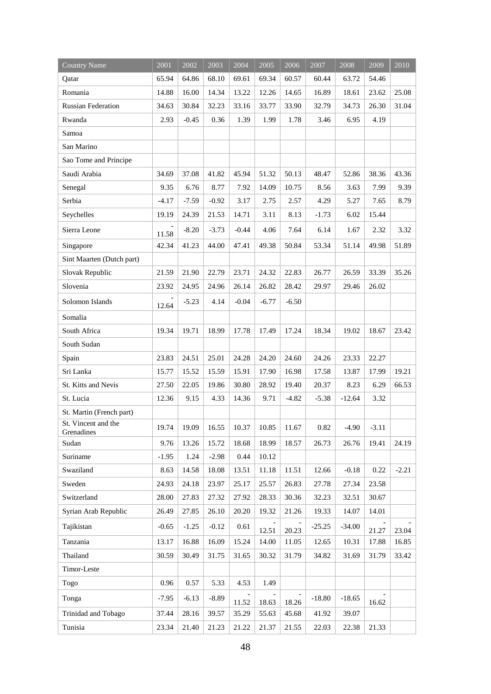| <b>Country Name</b>               | 2001    | 2002    | 2003    | 2004    | 2005    | 2006    | 2007     | 2008     | $\frac{2009}{ }$ | 2010    |
|-----------------------------------|---------|---------|---------|---------|---------|---------|----------|----------|------------------|---------|
| Qatar                             | 65.94   | 64.86   | 68.10   | 69.61   | 69.34   | 60.57   | 60.44    | 63.72    | 54.46            |         |
| Romania                           | 14.88   | 16.00   | 14.34   | 13.22   | 12.26   | 14.65   | 16.89    | 18.61    | 23.62            | 25.08   |
| <b>Russian Federation</b>         | 34.63   | 30.84   | 32.23   | 33.16   | 33.77   | 33.90   | 32.79    | 34.73    | 26.30            | 31.04   |
| Rwanda                            | 2.93    | $-0.45$ | 0.36    | 1.39    | 1.99    | 1.78    | 3.46     | 6.95     | 4.19             |         |
| Samoa                             |         |         |         |         |         |         |          |          |                  |         |
| San Marino                        |         |         |         |         |         |         |          |          |                  |         |
| Sao Tome and Principe             |         |         |         |         |         |         |          |          |                  |         |
| Saudi Arabia                      | 34.69   | 37.08   | 41.82   | 45.94   | 51.32   | 50.13   | 48.47    | 52.86    | 38.36            | 43.36   |
| Senegal                           | 9.35    | 6.76    | 8.77    | 7.92    | 14.09   | 10.75   | 8.56     | 3.63     | 7.99             | 9.39    |
| Serbia                            | $-4.17$ | $-7.59$ | $-0.92$ | 3.17    | 2.75    | 2.57    | 4.29     | 5.27     | 7.65             | 8.79    |
| Seychelles                        | 19.19   | 24.39   | 21.53   | 14.71   | 3.11    | 8.13    | $-1.73$  | 6.02     | 15.44            |         |
| Sierra Leone                      | 11.58   | $-8.20$ | $-3.73$ | $-0.44$ | 4.06    | 7.64    | 6.14     | 1.67     | 2.32             | 3.32    |
| Singapore                         | 42.34   | 41.23   | 44.00   | 47.41   | 49.38   | 50.84   | 53.34    | 51.14    | 49.98            | 51.89   |
| Sint Maarten (Dutch part)         |         |         |         |         |         |         |          |          |                  |         |
| Slovak Republic                   | 21.59   | 21.90   | 22.79   | 23.71   | 24.32   | 22.83   | 26.77    | 26.59    | 33.39            | 35.26   |
| Slovenia                          | 23.92   | 24.95   | 24.96   | 26.14   | 26.82   | 28.42   | 29.97    | 29.46    | 26.02            |         |
| Solomon Islands                   | 12.64   | $-5.23$ | 4.14    | $-0.04$ | $-6.77$ | $-6.50$ |          |          |                  |         |
| Somalia                           |         |         |         |         |         |         |          |          |                  |         |
| South Africa                      | 19.34   | 19.71   | 18.99   | 17.78   | 17.49   | 17.24   | 18.34    | 19.02    | 18.67            | 23.42   |
| South Sudan                       |         |         |         |         |         |         |          |          |                  |         |
| Spain                             | 23.83   | 24.51   | 25.01   | 24.28   | 24.20   | 24.60   | 24.26    | 23.33    | 22.27            |         |
| Sri Lanka                         | 15.77   | 15.52   | 15.59   | 15.91   | 17.90   | 16.98   | 17.58    | 13.87    | 17.99            | 19.21   |
| St. Kitts and Nevis               | 27.50   | 22.05   | 19.86   | 30.80   | 28.92   | 19.40   | 20.37    | 8.23     | 6.29             | 66.53   |
| St. Lucia                         | 12.36   | 9.15    | 4.33    | 14.36   | 9.71    | $-4.82$ | $-5.38$  | $-12.64$ | 3.32             |         |
| St. Martin (French part)          |         |         |         |         |         |         |          |          |                  |         |
| St. Vincent and the<br>Grenadines | 19.74   | 19.09   | 16.55   | $10.37$ | 10.85   | 11.67   | 0.82     | $-4.90$  | $-3.11$          |         |
| Sudan                             | 9.76    | 13.26   | 15.72   | 18.68   | 18.99   | 18.57   | 26.73    | 26.76    | 19.41            | 24.19   |
| Suriname                          | $-1.95$ | 1.24    | $-2.98$ | 0.44    | 10.12   |         |          |          |                  |         |
| Swaziland                         | 8.63    | 14.58   | 18.08   | 13.51   | 11.18   | 11.51   | 12.66    | $-0.18$  | 0.22             | $-2.21$ |
| Sweden                            | 24.93   | 24.18   | 23.97   | 25.17   | 25.57   | 26.83   | 27.78    | 27.34    | 23.58            |         |
| Switzerland                       | 28.00   | 27.83   | 27.32   | 27.92   | 28.33   | 30.36   | 32.23    | 32.51    | 30.67            |         |
| Syrian Arab Republic              | 26.49   | 27.85   | 26.10   | 20.20   | 19.32   | 21.26   | 19.33    | 14.07    | 14.01            |         |
| Tajikistan                        | $-0.65$ | $-1.25$ | $-0.12$ | 0.61    | 12.51   | 20.23   | $-25.25$ | $-34.00$ | 21.27            | 23.04   |
| Tanzania                          | 13.17   | 16.88   | 16.09   | 15.24   | 14.00   | 11.05   | 12.65    | 10.31    | 17.88            | 16.85   |
| Thailand                          | 30.59   | 30.49   | 31.75   | 31.65   | 30.32   | 31.79   | 34.82    | 31.69    | 31.79            | 33.42   |
| Timor-Leste                       |         |         |         |         |         |         |          |          |                  |         |
| Togo                              | 0.96    | 0.57    | 5.33    | 4.53    | 1.49    |         |          |          |                  |         |
| Tonga                             | $-7.95$ | $-6.13$ | $-8.89$ | 11.52   | 18.63   | 18.26   | $-18.80$ | $-18.65$ | 16.62            |         |
| Trinidad and Tobago               | 37.44   | 28.16   | 39.57   | 35.29   | 55.63   | 45.68   | 41.92    | 39.07    |                  |         |
| Tunisia                           | 23.34   | 21.40   | 21.23   | 21.22   | 21.37   | 21.55   | 22.03    | 22.38    | 21.33            |         |